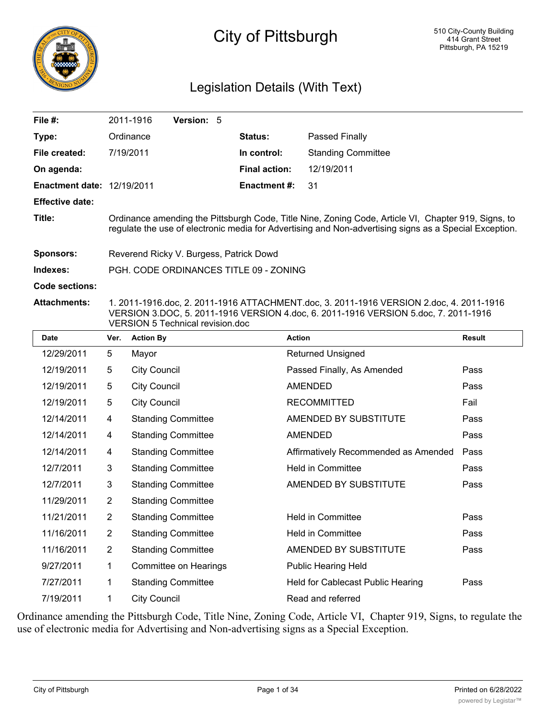

# City of Pittsburgh

# Legislation Details (With Text)

| File $#$ :                        | 2011-1916                                                                                                                                                                                                          | Version: 5 |  |                      |                           |  |  |
|-----------------------------------|--------------------------------------------------------------------------------------------------------------------------------------------------------------------------------------------------------------------|------------|--|----------------------|---------------------------|--|--|
| Type:                             | Ordinance                                                                                                                                                                                                          |            |  | <b>Status:</b>       | Passed Finally            |  |  |
| File created:                     | 7/19/2011                                                                                                                                                                                                          |            |  | In control:          | <b>Standing Committee</b> |  |  |
| On agenda:                        |                                                                                                                                                                                                                    |            |  | <b>Final action:</b> | 12/19/2011                |  |  |
| <b>Enactment date: 12/19/2011</b> |                                                                                                                                                                                                                    |            |  | <b>Enactment #:</b>  | 31                        |  |  |
| <b>Effective date:</b>            |                                                                                                                                                                                                                    |            |  |                      |                           |  |  |
| Title:                            | Ordinance amending the Pittsburgh Code, Title Nine, Zoning Code, Article VI, Chapter 919, Signs, to<br>regulate the use of electronic media for Advertising and Non-advertising signs as a Special Exception.      |            |  |                      |                           |  |  |
| <b>Sponsors:</b>                  | Reverend Ricky V. Burgess, Patrick Dowd                                                                                                                                                                            |            |  |                      |                           |  |  |
| Indexes:                          | PGH, CODE ORDINANCES TITLE 09 - ZONING                                                                                                                                                                             |            |  |                      |                           |  |  |
| Code sections:                    |                                                                                                                                                                                                                    |            |  |                      |                           |  |  |
| <b>Attachments:</b>               | 1. 2011-1916.doc, 2. 2011-1916 ATTACHMENT.doc, 3. 2011-1916 VERSION 2.doc, 4. 2011-1916<br>VERSION 3.DOC, 5. 2011-1916 VERSION 4.doc, 6. 2011-1916 VERSION 5.doc, 7. 2011-1916<br>VERSION 5 Technical revision.doc |            |  |                      |                           |  |  |

| <b>Date</b> | Ver.           | <b>Action By</b>          | <b>Action</b>                        | <b>Result</b> |
|-------------|----------------|---------------------------|--------------------------------------|---------------|
| 12/29/2011  | 5              | Mayor                     | <b>Returned Unsigned</b>             |               |
| 12/19/2011  | 5              | <b>City Council</b>       | Passed Finally, As Amended           | Pass          |
| 12/19/2011  | 5              | <b>City Council</b>       | <b>AMENDED</b>                       | Pass          |
| 12/19/2011  | 5              | <b>City Council</b>       | <b>RECOMMITTED</b>                   | Fail          |
| 12/14/2011  | 4              | <b>Standing Committee</b> | AMENDED BY SUBSTITUTE                | Pass          |
| 12/14/2011  | 4              | <b>Standing Committee</b> | <b>AMENDED</b>                       | Pass          |
| 12/14/2011  | 4              | <b>Standing Committee</b> | Affirmatively Recommended as Amended | Pass          |
| 12/7/2011   | 3              | <b>Standing Committee</b> | <b>Held in Committee</b>             | Pass          |
| 12/7/2011   | 3              | <b>Standing Committee</b> | AMENDED BY SUBSTITUTE                | Pass          |
| 11/29/2011  | $\overline{2}$ | <b>Standing Committee</b> |                                      |               |
| 11/21/2011  | $\overline{2}$ | <b>Standing Committee</b> | <b>Held in Committee</b>             | Pass          |
| 11/16/2011  | $\overline{2}$ | <b>Standing Committee</b> | <b>Held in Committee</b>             | Pass          |
| 11/16/2011  | $\overline{2}$ | <b>Standing Committee</b> | AMENDED BY SUBSTITUTE                | Pass          |
| 9/27/2011   | 1              | Committee on Hearings     | <b>Public Hearing Held</b>           |               |
| 7/27/2011   | 1              | <b>Standing Committee</b> | Held for Cablecast Public Hearing    | Pass          |
| 7/19/2011   | 1              | <b>City Council</b>       | Read and referred                    |               |

Ordinance amending the Pittsburgh Code, Title Nine, Zoning Code, Article VI, Chapter 919, Signs, to regulate the use of electronic media for Advertising and Non-advertising signs as a Special Exception.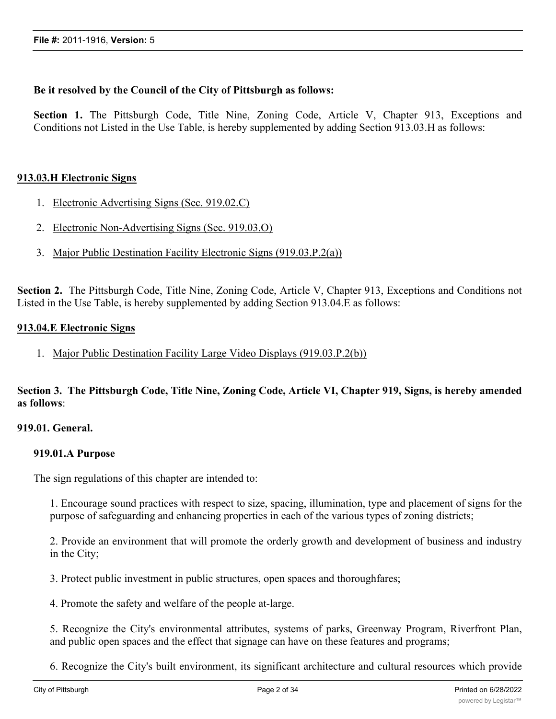# **Be it resolved by the Council of the City of Pittsburgh as follows:**

**Section 1.** The Pittsburgh Code, Title Nine, Zoning Code, Article V, Chapter 913, Exceptions and Conditions not Listed in the Use Table, is hereby supplemented by adding Section 913.03.H as follows:

# **913.03.H Electronic Signs**

- 1. Electronic Advertising Signs (Sec. 919.02.C)
- 2. Electronic Non-Advertising Signs (Sec. 919.03.O)
- 3. Major Public Destination Facility Electronic Signs (919.03.P.2(a))

**Section 2.** The Pittsburgh Code, Title Nine, Zoning Code, Article V, Chapter 913, Exceptions and Conditions not Listed in the Use Table, is hereby supplemented by adding Section 913.04.E as follows:

# **913.04.E Electronic Signs**

1. Major Public Destination Facility Large Video Displays (919.03.P.2(b))

Section 3. The Pittsburgh Code, Title Nine, Zoning Code, Article VI, Chapter 919, Signs, is hereby amended **as follows**:

# **919.01. General.**

# **919.01.A Purpose**

The sign regulations of this chapter are intended to:

1. Encourage sound practices with respect to size, spacing, illumination, type and placement of signs for the purpose of safeguarding and enhancing properties in each of the various types of zoning districts;

2. Provide an environment that will promote the orderly growth and development of business and industry in the City;

3. Protect public investment in public structures, open spaces and thoroughfares;

4. Promote the safety and welfare of the people at-large.

5. Recognize the City's environmental attributes, systems of parks, Greenway Program, Riverfront Plan, and public open spaces and the effect that signage can have on these features and programs;

6. Recognize the City's built environment, its significant architecture and cultural resources which provide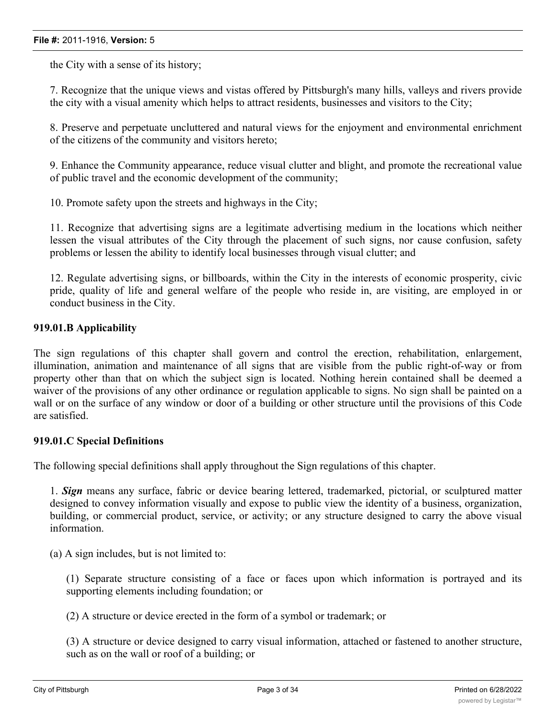the City with a sense of its history;

7. Recognize that the unique views and vistas offered by Pittsburgh's many hills, valleys and rivers provide the city with a visual amenity which helps to attract residents, businesses and visitors to the City;

8. Preserve and perpetuate uncluttered and natural views for the enjoyment and environmental enrichment of the citizens of the community and visitors hereto;

9. Enhance the Community appearance, reduce visual clutter and blight, and promote the recreational value of public travel and the economic development of the community;

10. Promote safety upon the streets and highways in the City;

11. Recognize that advertising signs are a legitimate advertising medium in the locations which neither lessen the visual attributes of the City through the placement of such signs, nor cause confusion, safety problems or lessen the ability to identify local businesses through visual clutter; and

12. Regulate advertising signs, or billboards, within the City in the interests of economic prosperity, civic pride, quality of life and general welfare of the people who reside in, are visiting, are employed in or conduct business in the City.

# **919.01.B Applicability**

The sign regulations of this chapter shall govern and control the erection, rehabilitation, enlargement, illumination, animation and maintenance of all signs that are visible from the public right-of-way or from property other than that on which the subject sign is located. Nothing herein contained shall be deemed a waiver of the provisions of any other ordinance or regulation applicable to signs. No sign shall be painted on a wall or on the surface of any window or door of a building or other structure until the provisions of this Code are satisfied.

#### **919.01.C Special Definitions**

The following special definitions shall apply throughout the Sign regulations of this chapter.

1. *Sign* means any surface, fabric or device bearing lettered, trademarked, pictorial, or sculptured matter designed to convey information visually and expose to public view the identity of a business, organization, building, or commercial product, service, or activity; or any structure designed to carry the above visual information.

(a) A sign includes, but is not limited to:

(1) Separate structure consisting of a face or faces upon which information is portrayed and its supporting elements including foundation; or

(2) A structure or device erected in the form of a symbol or trademark; or

(3) A structure or device designed to carry visual information, attached or fastened to another structure, such as on the wall or roof of a building; or

(4) A surface or device upon which lettered, pictorial or device upon which lettered, pictorial  $\alpha$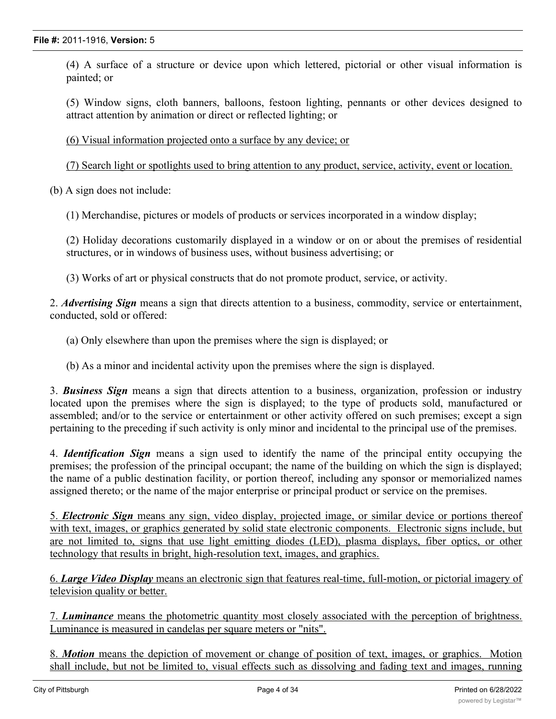(4) A surface of a structure or device upon which lettered, pictorial or other visual information is painted; or

(5) Window signs, cloth banners, balloons, festoon lighting, pennants or other devices designed to attract attention by animation or direct or reflected lighting; or

(6) Visual information projected onto a surface by any device; or

(7) Search light or spotlights used to bring attention to any product, service, activity, event or location.

(b) A sign does not include:

(1) Merchandise, pictures or models of products or services incorporated in a window display;

(2) Holiday decorations customarily displayed in a window or on or about the premises of residential structures, or in windows of business uses, without business advertising; or

(3) Works of art or physical constructs that do not promote product, service, or activity.

2. *Advertising Sign* means a sign that directs attention to a business, commodity, service or entertainment, conducted, sold or offered:

(a) Only elsewhere than upon the premises where the sign is displayed; or

(b) As a minor and incidental activity upon the premises where the sign is displayed.

3. *Business Sign* means a sign that directs attention to a business, organization, profession or industry located upon the premises where the sign is displayed; to the type of products sold, manufactured or assembled; and/or to the service or entertainment or other activity offered on such premises; except a sign pertaining to the preceding if such activity is only minor and incidental to the principal use of the premises.

4. *Identification Sign* means a sign used to identify the name of the principal entity occupying the premises; the profession of the principal occupant; the name of the building on which the sign is displayed; the name of a public destination facility, or portion thereof, including any sponsor or memorialized names assigned thereto; or the name of the major enterprise or principal product or service on the premises.

5. *Electronic Sign* means any sign, video display, projected image, or similar device or portions thereof with text, images, or graphics generated by solid state electronic components. Electronic signs include, but are not limited to, signs that use light emitting diodes (LED), plasma displays, fiber optics, or other technology that results in bright, high-resolution text, images, and graphics.

6. *Large Video Display* means an electronic sign that features real-time, full-motion, or pictorial imagery of television quality or better.

7. *Luminance* means the photometric quantity most closely associated with the perception of brightness. Luminance is measured in candelas per square meters or "nits".

8. *Motion* means the depiction of movement or change of position of text, images, or graphics. Motion shall include, but not be limited to, visual effects such as dissolving and fading text and images, running

sequential text, graphic bursts, lighting that resembles zooming, twinkling, or sparkling, changes in light or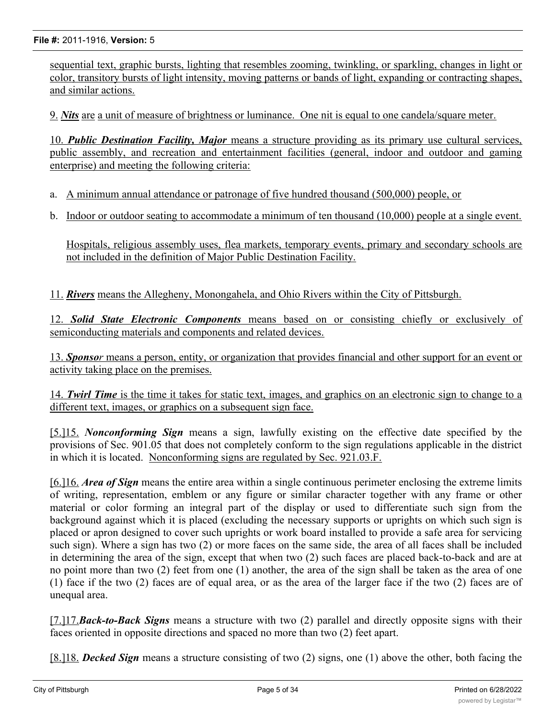sequential text, graphic bursts, lighting that resembles zooming, twinkling, or sparkling, changes in light or color, transitory bursts of light intensity, moving patterns or bands of light, expanding or contracting shapes, and similar actions.

9. *Nits* are a unit of measure of brightness or luminance. One nit is equal to one candela/square meter.

10. *Public Destination Facility, Major* means a structure providing as its primary use cultural services, public assembly, and recreation and entertainment facilities (general, indoor and outdoor and gaming enterprise) and meeting the following criteria:

- a. A minimum annual attendance or patronage of five hundred thousand (500,000) people, or
- b. Indoor or outdoor seating to accommodate a minimum of ten thousand (10,000) people at a single event.

Hospitals, religious assembly uses, flea markets, temporary events, primary and secondary schools are not included in the definition of Major Public Destination Facility.

11. *Rivers* means the Allegheny, Monongahela, and Ohio Rivers within the City of Pittsburgh.

12. *Solid State Electronic Components* means based on or consisting chiefly or exclusively of semiconducting materials and components and related devices.

13. *Sponsor* means a person, entity, or organization that provides financial and other support for an event or activity taking place on the premises.

14. *Twirl Time* is the time it takes for static text, images, and graphics on an electronic sign to change to a different text, images, or graphics on a subsequent sign face.

[5.]15. *Nonconforming Sign* means a sign, lawfully existing on the effective date specified by the provisions of Sec. 901.05 that does not completely conform to the sign regulations applicable in the district in which it is located. Nonconforming signs are regulated by Sec. 921.03.F.

[6.]16. *Area of Sign* means the entire area within a single continuous perimeter enclosing the extreme limits of writing, representation, emblem or any figure or similar character together with any frame or other material or color forming an integral part of the display or used to differentiate such sign from the background against which it is placed (excluding the necessary supports or uprights on which such sign is placed or apron designed to cover such uprights or work board installed to provide a safe area for servicing such sign). Where a sign has two (2) or more faces on the same side, the area of all faces shall be included in determining the area of the sign, except that when two (2) such faces are placed back-to-back and are at no point more than two (2) feet from one (1) another, the area of the sign shall be taken as the area of one (1) face if the two (2) faces are of equal area, or as the area of the larger face if the two (2) faces are of unequal area.

[7.]17.*Back-to-Back Signs* means a structure with two (2) parallel and directly opposite signs with their faces oriented in opposite directions and spaced no more than two (2) feet apart.

[8.]18. *Decked Sign* means a structure consisting of two (2) signs, one (1) above the other, both facing the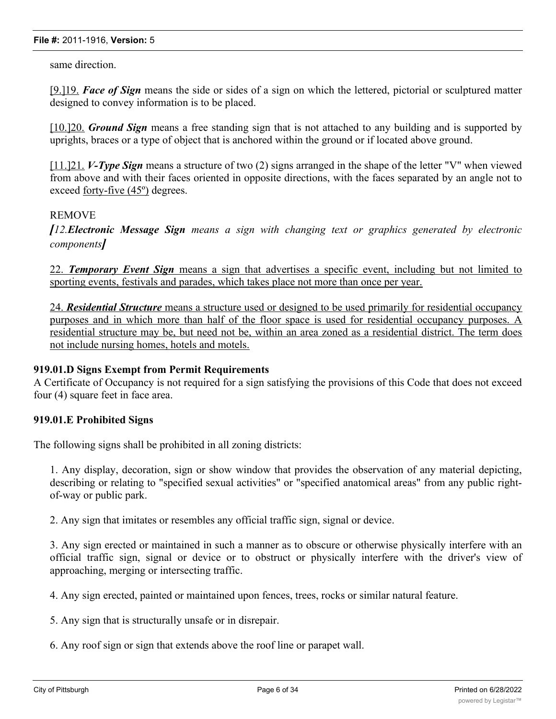same direction.

[9.]19. *Face of Sign* means the side or sides of a sign on which the lettered, pictorial or sculptured matter designed to convey information is to be placed.

[10.]20. *Ground Sign* means a free standing sign that is not attached to any building and is supported by uprights, braces or a type of object that is anchored within the ground or if located above ground.

[11.]21. *V-Type Sign* means a structure of two (2) signs arranged in the shape of the letter "V" when viewed from above and with their faces oriented in opposite directions, with the faces separated by an angle not to exceed forty-five (45º) degrees.

## REMOVE

*[12.Electronic Message Sign means a sign with changing text or graphics generated by electronic components]*

22. *Temporary Event Sign* means a sign that advertises a specific event, including but not limited to sporting events, festivals and parades, which takes place not more than once per year.

24. *Residential Structure* means a structure used or designed to be used primarily for residential occupancy purposes and in which more than half of the floor space is used for residential occupancy purposes. A residential structure may be, but need not be, within an area zoned as a residential district. The term does not include nursing homes, hotels and motels.

# **919.01.D Signs Exempt from Permit Requirements**

A Certificate of Occupancy is not required for a sign satisfying the provisions of this Code that does not exceed four (4) square feet in face area.

# **919.01.E Prohibited Signs**

The following signs shall be prohibited in all zoning districts:

1. Any display, decoration, sign or show window that provides the observation of any material depicting, describing or relating to "specified sexual activities" or "specified anatomical areas" from any public rightof-way or public park.

2. Any sign that imitates or resembles any official traffic sign, signal or device.

3. Any sign erected or maintained in such a manner as to obscure or otherwise physically interfere with an official traffic sign, signal or device or to obstruct or physically interfere with the driver's view of approaching, merging or intersecting traffic.

4. Any sign erected, painted or maintained upon fences, trees, rocks or similar natural feature.

5. Any sign that is structurally unsafe or in disrepair.

6. Any roof sign or sign that extends above the roof line or parapet wall.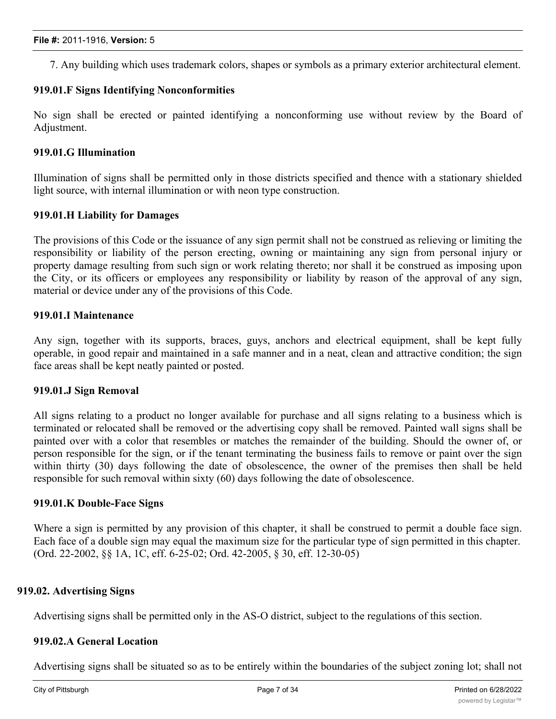7. Any building which uses trademark colors, shapes or symbols as a primary exterior architectural element.

# **919.01.F Signs Identifying Nonconformities**

No sign shall be erected or painted identifying a nonconforming use without review by the Board of Adjustment.

## **919.01.G Illumination**

Illumination of signs shall be permitted only in those districts specified and thence with a stationary shielded light source, with internal illumination or with neon type construction.

## **919.01.H Liability for Damages**

The provisions of this Code or the issuance of any sign permit shall not be construed as relieving or limiting the responsibility or liability of the person erecting, owning or maintaining any sign from personal injury or property damage resulting from such sign or work relating thereto; nor shall it be construed as imposing upon the City, or its officers or employees any responsibility or liability by reason of the approval of any sign, material or device under any of the provisions of this Code.

## **919.01.I Maintenance**

Any sign, together with its supports, braces, guys, anchors and electrical equipment, shall be kept fully operable, in good repair and maintained in a safe manner and in a neat, clean and attractive condition; the sign face areas shall be kept neatly painted or posted.

#### **919.01.J Sign Removal**

All signs relating to a product no longer available for purchase and all signs relating to a business which is terminated or relocated shall be removed or the advertising copy shall be removed. Painted wall signs shall be painted over with a color that resembles or matches the remainder of the building. Should the owner of, or person responsible for the sign, or if the tenant terminating the business fails to remove or paint over the sign within thirty (30) days following the date of obsolescence, the owner of the premises then shall be held responsible for such removal within sixty (60) days following the date of obsolescence.

#### **919.01.K Double-Face Signs**

Where a sign is permitted by any provision of this chapter, it shall be construed to permit a double face sign. Each face of a double sign may equal the maximum size for the particular type of sign permitted in this chapter. (Ord. 22-2002, §§ 1A, 1C, eff. 6-25-02; Ord. 42-2005, § 30, eff. 12-30-05)

## **919.02. Advertising Signs**

Advertising signs shall be permitted only in the AS-O district, subject to the regulations of this section.

# **919.02.A General Location**

Advertising signs shall be situated so as to be entirely within the boundaries of the subject zoning lot; shall not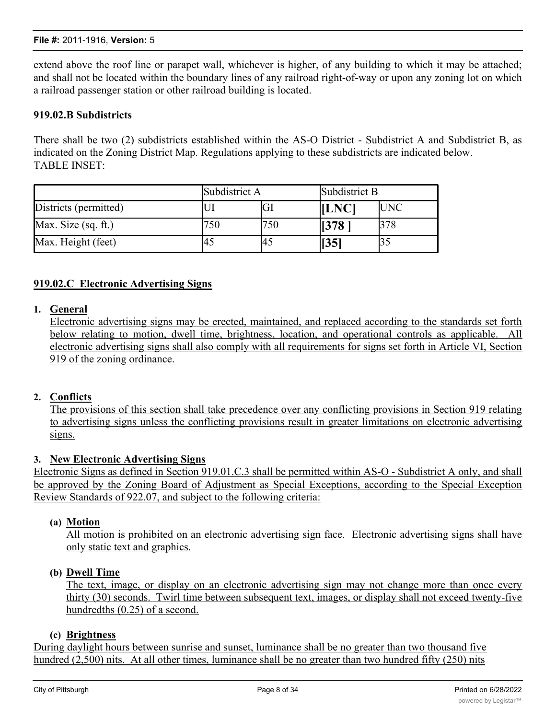extend above the roof line or parapet wall, whichever is higher, of any building to which it may be attached; and shall not be located within the boundary lines of any railroad right-of-way or upon any zoning lot on which a railroad passenger station or other railroad building is located.

# **919.02.B Subdistricts**

There shall be two (2) subdistricts established within the AS-O District - Subdistrict A and Subdistrict B, as indicated on the Zoning District Map. Regulations applying to these subdistricts are indicated below. TABLE INSET:

|                       | Subdistrict A |     | Subdistrict B |            |
|-----------------------|---------------|-----|---------------|------------|
| Districts (permitted) |               |     | <b>ILNCI</b>  | <b>UNC</b> |
| Max. Size (sq. ft.)   |               | 750 | 1378          | 378        |
| Max. Height (feet)    | 43            |     | $\vert$ [35]  |            |

# **919.02.C Electronic Advertising Signs**

## **1. General**

Electronic advertising signs may be erected, maintained, and replaced according to the standards set forth below relating to motion, dwell time, brightness, location, and operational controls as applicable. All electronic advertising signs shall also comply with all requirements for signs set forth in Article VI, Section 919 of the zoning ordinance.

#### **2. Conflicts**

The provisions of this section shall take precedence over any conflicting provisions in Section 919 relating to advertising signs unless the conflicting provisions result in greater limitations on electronic advertising signs.

#### **3. New Electronic Advertising Signs**

Electronic Signs as defined in Section 919.01.C.3 shall be permitted within AS-O - Subdistrict A only, and shall be approved by the Zoning Board of Adjustment as Special Exceptions, according to the Special Exception Review Standards of 922.07, and subject to the following criteria:

## **(a) Motion**

All motion is prohibited on an electronic advertising sign face. Electronic advertising signs shall have only static text and graphics.

#### **(b) Dwell Time**

The text, image, or display on an electronic advertising sign may not change more than once every thirty (30) seconds. Twirl time between subsequent text, images, or display shall not exceed twenty-five hundredths (0.25) of a second.

#### **(c) Brightness**

During daylight hours between sunrise and sunset, luminance shall be no greater than two thousand five hundred (2,500) nits. At all other times, luminance shall be no greater than two hundred fifty (250) nits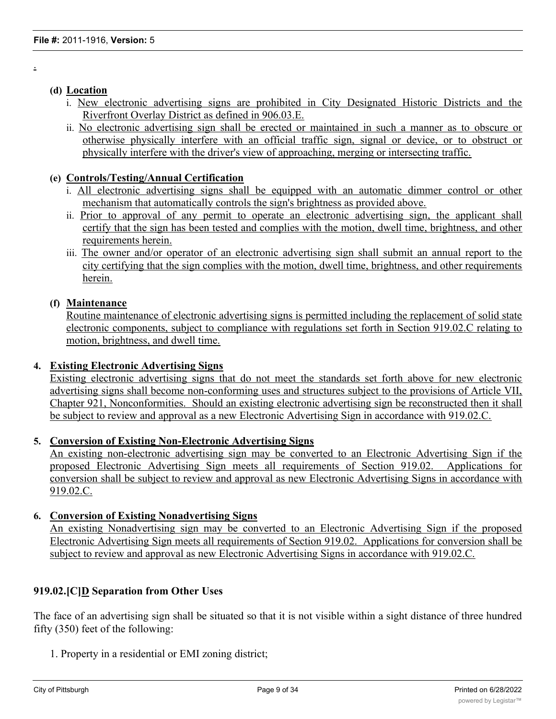# **(d) Location**

.

- i. New electronic advertising signs are prohibited in City Designated Historic Districts and the Riverfront Overlay District as defined in 906.03.E.
- ii. No electronic advertising sign shall be erected or maintained in such a manner as to obscure or otherwise physically interfere with an official traffic sign, signal or device, or to obstruct or physically interfere with the driver's view of approaching, merging or intersecting traffic.

# **(e) Controls/Testing/Annual Certification**

- i. All electronic advertising signs shall be equipped with an automatic dimmer control or other mechanism that automatically controls the sign's brightness as provided above.
- ii. Prior to approval of any permit to operate an electronic advertising sign, the applicant shall certify that the sign has been tested and complies with the motion, dwell time, brightness, and other requirements herein.
- iii. The owner and/or operator of an electronic advertising sign shall submit an annual report to the city certifying that the sign complies with the motion, dwell time, brightness, and other requirements herein.

# **(f) Maintenance**

Routine maintenance of electronic advertising signs is permitted including the replacement of solid state electronic components, subject to compliance with regulations set forth in Section 919.02.C relating to motion, brightness, and dwell time.

# **4. Existing Electronic Advertising Signs**

Existing electronic advertising signs that do not meet the standards set forth above for new electronic advertising signs shall become non-conforming uses and structures subject to the provisions of Article VII, Chapter 921, Nonconformities. Should an existing electronic advertising sign be reconstructed then it shall be subject to review and approval as a new Electronic Advertising Sign in accordance with 919.02.C.

# **5. Conversion of Existing Non-Electronic Advertising Signs**

An existing non-electronic advertising sign may be converted to an Electronic Advertising Sign if the proposed Electronic Advertising Sign meets all requirements of Section 919.02. Applications for conversion shall be subject to review and approval as new Electronic Advertising Signs in accordance with 919.02.C.

# **6. Conversion of Existing Nonadvertising Signs**

An existing Nonadvertising sign may be converted to an Electronic Advertising Sign if the proposed Electronic Advertising Sign meets all requirements of Section 919.02. Applications for conversion shall be subject to review and approval as new Electronic Advertising Signs in accordance with 919.02.C.

# **919.02.[C]D Separation from Other Uses**

The face of an advertising sign shall be situated so that it is not visible within a sight distance of three hundred fifty (350) feet of the following:

1. Property in a residential or EMI zoning district;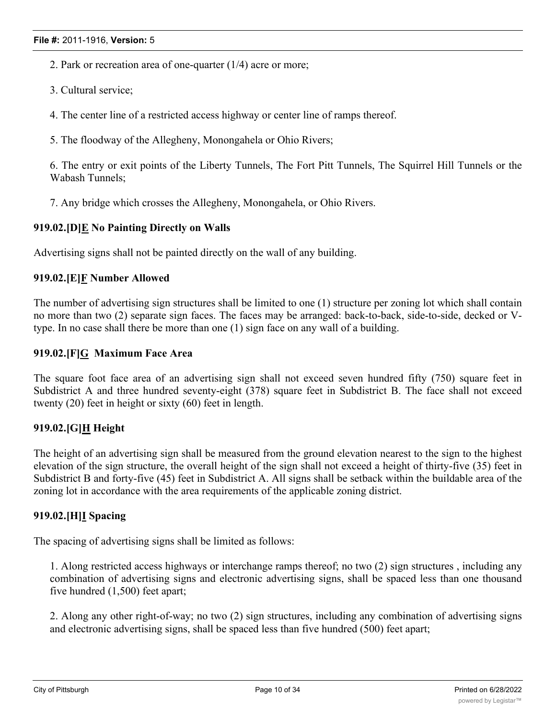- 2. Park or recreation area of one-quarter (1/4) acre or more;
- 3. Cultural service;
- 4. The center line of a restricted access highway or center line of ramps thereof.
- 5. The floodway of the Allegheny, Monongahela or Ohio Rivers;

6. The entry or exit points of the Liberty Tunnels, The Fort Pitt Tunnels, The Squirrel Hill Tunnels or the Wabash Tunnels;

7. Any bridge which crosses the Allegheny, Monongahela, or Ohio Rivers.

# **919.02.[D]E No Painting Directly on Walls**

Advertising signs shall not be painted directly on the wall of any building.

# **919.02.[E]F Number Allowed**

The number of advertising sign structures shall be limited to one (1) structure per zoning lot which shall contain no more than two (2) separate sign faces. The faces may be arranged: back-to-back, side-to-side, decked or Vtype. In no case shall there be more than one (1) sign face on any wall of a building.

## **919.02.[F]G Maximum Face Area**

The square foot face area of an advertising sign shall not exceed seven hundred fifty (750) square feet in Subdistrict A and three hundred seventy-eight (378) square feet in Subdistrict B. The face shall not exceed twenty (20) feet in height or sixty (60) feet in length.

# **919.02.[G]H Height**

The height of an advertising sign shall be measured from the ground elevation nearest to the sign to the highest elevation of the sign structure, the overall height of the sign shall not exceed a height of thirty-five (35) feet in Subdistrict B and forty-five (45) feet in Subdistrict A. All signs shall be setback within the buildable area of the zoning lot in accordance with the area requirements of the applicable zoning district.

# **919.02.[H]I Spacing**

The spacing of advertising signs shall be limited as follows:

1. Along restricted access highways or interchange ramps thereof; no two (2) sign structures , including any combination of advertising signs and electronic advertising signs, shall be spaced less than one thousand five hundred (1,500) feet apart;

2. Along any other right-of-way; no two (2) sign structures, including any combination of advertising signs and electronic advertising signs, shall be spaced less than five hundred (500) feet apart;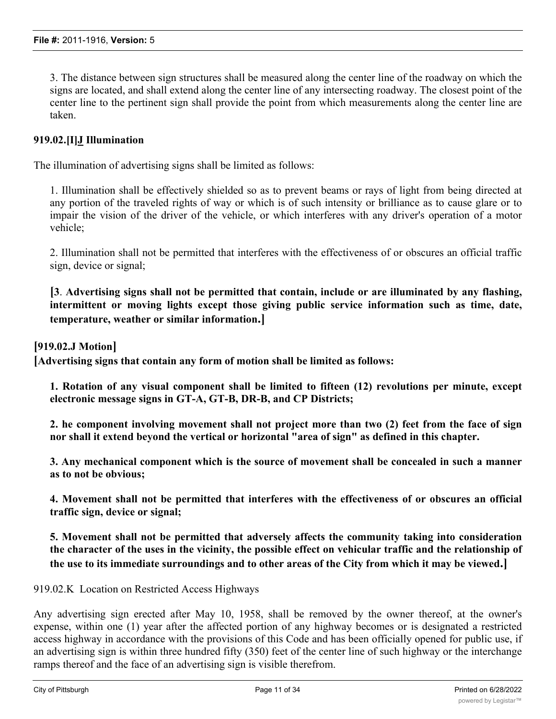3. The distance between sign structures shall be measured along the center line of the roadway on which the signs are located, and shall extend along the center line of any intersecting roadway. The closest point of the center line to the pertinent sign shall provide the point from which measurements along the center line are taken.

# **919.02.[I]J Illumination**

The illumination of advertising signs shall be limited as follows:

1. Illumination shall be effectively shielded so as to prevent beams or rays of light from being directed at any portion of the traveled rights of way or which is of such intensity or brilliance as to cause glare or to impair the vision of the driver of the vehicle, or which interferes with any driver's operation of a motor vehicle;

2. Illumination shall not be permitted that interferes with the effectiveness of or obscures an official traffic sign, device or signal;

**[3**. **Advertising signs shall not be permitted that contain, include or are illuminated by any flashing, intermittent or moving lights except those giving public service information such as time, date, temperature, weather or similar information.]**

**[919.02.J Motion]**

**[Advertising signs that contain any form of motion shall be limited as follows:**

**1. Rotation of any visual component shall be limited to fifteen (12) revolutions per minute, except electronic message signs in GT-A, GT-B, DR-B, and CP Districts;**

**2. he component involving movement shall not project more than two (2) feet from the face of sign nor shall it extend beyond the vertical or horizontal "area of sign" as defined in this chapter.**

**3. Any mechanical component which is the source of movement shall be concealed in such a manner as to not be obvious;**

**4. Movement shall not be permitted that interferes with the effectiveness of or obscures an official traffic sign, device or signal;**

**5. Movement shall not be permitted that adversely affects the community taking into consideration** the character of the uses in the vicinity, the possible effect on vehicular traffic and the relationship of **the use to its immediate surroundings and to other areas of the City from which it may be viewed.]**

919.02.K Location on Restricted Access Highways

Any advertising sign erected after May 10, 1958, shall be removed by the owner thereof, at the owner's expense, within one (1) year after the affected portion of any highway becomes or is designated a restricted access highway in accordance with the provisions of this Code and has been officially opened for public use, if an advertising sign is within three hundred fifty (350) feet of the center line of such highway or the interchange ramps thereof and the face of an advertising sign is visible therefrom.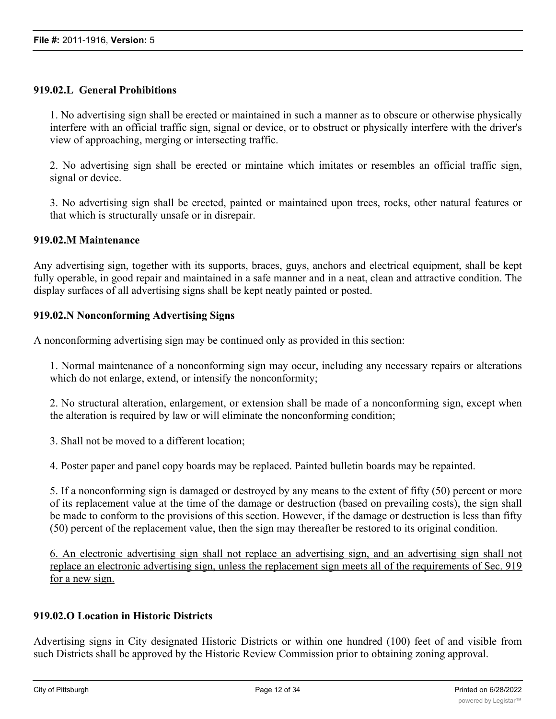# **919.02.L General Prohibitions**

1. No advertising sign shall be erected or maintained in such a manner as to obscure or otherwise physically interfere with an official traffic sign, signal or device, or to obstruct or physically interfere with the driver's view of approaching, merging or intersecting traffic.

2. No advertising sign shall be erected or mintaine which imitates or resembles an official traffic sign, signal or device.

3. No advertising sign shall be erected, painted or maintained upon trees, rocks, other natural features or that which is structurally unsafe or in disrepair.

## **919.02.M Maintenance**

Any advertising sign, together with its supports, braces, guys, anchors and electrical equipment, shall be kept fully operable, in good repair and maintained in a safe manner and in a neat, clean and attractive condition. The display surfaces of all advertising signs shall be kept neatly painted or posted.

## **919.02.N Nonconforming Advertising Signs**

A nonconforming advertising sign may be continued only as provided in this section:

1. Normal maintenance of a nonconforming sign may occur, including any necessary repairs or alterations which do not enlarge, extend, or intensify the nonconformity;

2. No structural alteration, enlargement, or extension shall be made of a nonconforming sign, except when the alteration is required by law or will eliminate the nonconforming condition;

3. Shall not be moved to a different location;

4. Poster paper and panel copy boards may be replaced. Painted bulletin boards may be repainted.

5. If a nonconforming sign is damaged or destroyed by any means to the extent of fifty (50) percent or more of its replacement value at the time of the damage or destruction (based on prevailing costs), the sign shall be made to conform to the provisions of this section. However, if the damage or destruction is less than fifty (50) percent of the replacement value, then the sign may thereafter be restored to its original condition.

6. An electronic advertising sign shall not replace an advertising sign, and an advertising sign shall not replace an electronic advertising sign, unless the replacement sign meets all of the requirements of Sec. 919 for a new sign.

# **919.02.O Location in Historic Districts**

Advertising signs in City designated Historic Districts or within one hundred (100) feet of and visible from such Districts shall be approved by the Historic Review Commission prior to obtaining zoning approval.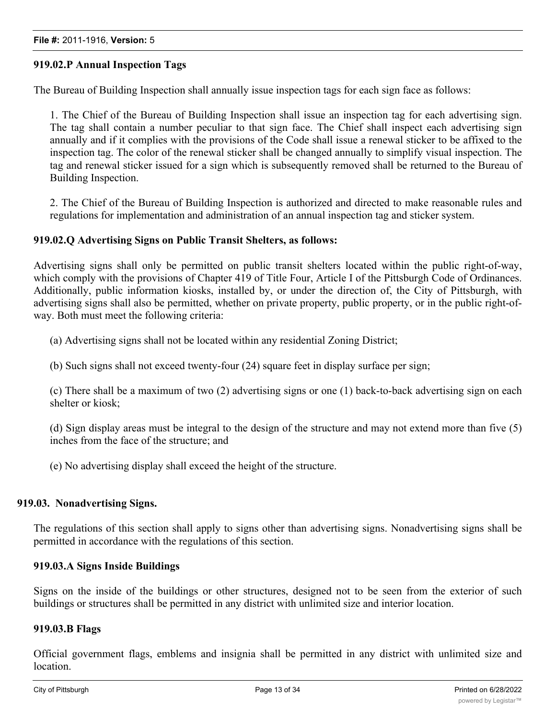# **919.02.P Annual Inspection Tags**

The Bureau of Building Inspection shall annually issue inspection tags for each sign face as follows:

1. The Chief of the Bureau of Building Inspection shall issue an inspection tag for each advertising sign. The tag shall contain a number peculiar to that sign face. The Chief shall inspect each advertising sign annually and if it complies with the provisions of the Code shall issue a renewal sticker to be affixed to the inspection tag. The color of the renewal sticker shall be changed annually to simplify visual inspection. The tag and renewal sticker issued for a sign which is subsequently removed shall be returned to the Bureau of Building Inspection.

2. The Chief of the Bureau of Building Inspection is authorized and directed to make reasonable rules and regulations for implementation and administration of an annual inspection tag and sticker system.

## **919.02.Q Advertising Signs on Public Transit Shelters, as follows:**

Advertising signs shall only be permitted on public transit shelters located within the public right-of-way, which comply with the provisions of Chapter 419 of Title Four, Article I of the Pittsburgh Code of Ordinances. Additionally, public information kiosks, installed by, or under the direction of, the City of Pittsburgh, with advertising signs shall also be permitted, whether on private property, public property, or in the public right-ofway. Both must meet the following criteria:

(a) Advertising signs shall not be located within any residential Zoning District;

(b) Such signs shall not exceed twenty-four (24) square feet in display surface per sign;

(c) There shall be a maximum of two (2) advertising signs or one (1) back-to-back advertising sign on each shelter or kiosk;

(d) Sign display areas must be integral to the design of the structure and may not extend more than five (5) inches from the face of the structure; and

(e) No advertising display shall exceed the height of the structure.

#### **919.03. Nonadvertising Signs.**

The regulations of this section shall apply to signs other than advertising signs. Nonadvertising signs shall be permitted in accordance with the regulations of this section.

## **919.03.A Signs Inside Buildings**

Signs on the inside of the buildings or other structures, designed not to be seen from the exterior of such buildings or structures shall be permitted in any district with unlimited size and interior location.

#### **919.03.B Flags**

Official government flags, emblems and insignia shall be permitted in any district with unlimited size and location.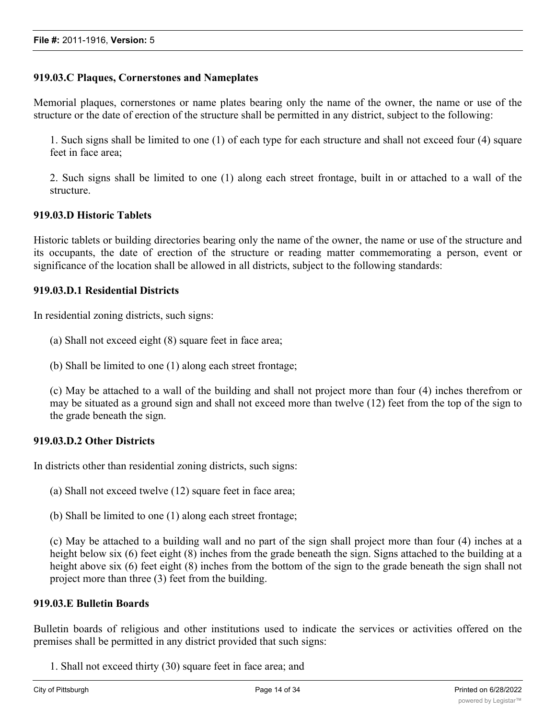# **919.03.C Plaques, Cornerstones and Nameplates**

Memorial plaques, cornerstones or name plates bearing only the name of the owner, the name or use of the structure or the date of erection of the structure shall be permitted in any district, subject to the following:

1. Such signs shall be limited to one (1) of each type for each structure and shall not exceed four (4) square feet in face area;

2. Such signs shall be limited to one (1) along each street frontage, built in or attached to a wall of the structure.

# **919.03.D Historic Tablets**

Historic tablets or building directories bearing only the name of the owner, the name or use of the structure and its occupants, the date of erection of the structure or reading matter commemorating a person, event or significance of the location shall be allowed in all districts, subject to the following standards:

## **919.03.D.1 Residential Districts**

In residential zoning districts, such signs:

(a) Shall not exceed eight (8) square feet in face area;

(b) Shall be limited to one (1) along each street frontage;

(c) May be attached to a wall of the building and shall not project more than four (4) inches therefrom or may be situated as a ground sign and shall not exceed more than twelve (12) feet from the top of the sign to the grade beneath the sign.

# **919.03.D.2 Other Districts**

In districts other than residential zoning districts, such signs:

(a) Shall not exceed twelve (12) square feet in face area;

(b) Shall be limited to one (1) along each street frontage;

(c) May be attached to a building wall and no part of the sign shall project more than four (4) inches at a height below six (6) feet eight (8) inches from the grade beneath the sign. Signs attached to the building at a height above six (6) feet eight (8) inches from the bottom of the sign to the grade beneath the sign shall not project more than three (3) feet from the building.

#### **919.03.E Bulletin Boards**

Bulletin boards of religious and other institutions used to indicate the services or activities offered on the premises shall be permitted in any district provided that such signs:

1. Shall not exceed thirty (30) square feet in face area; and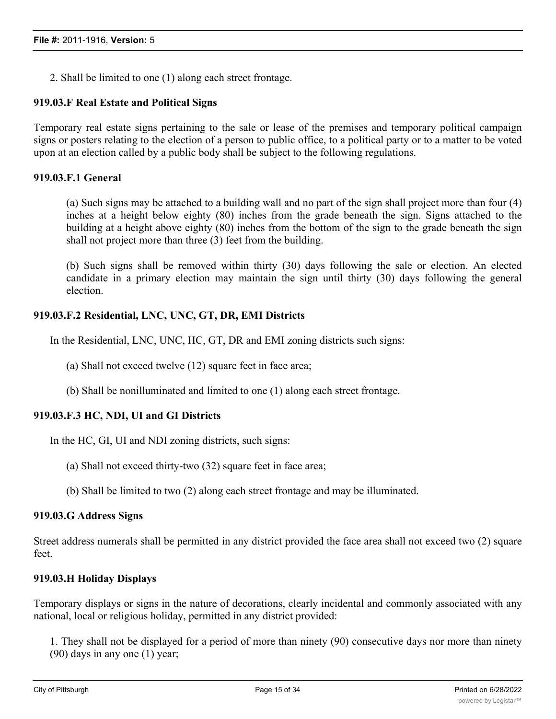2. Shall be limited to one (1) along each street frontage.

# **919.03.F Real Estate and Political Signs**

Temporary real estate signs pertaining to the sale or lease of the premises and temporary political campaign signs or posters relating to the election of a person to public office, to a political party or to a matter to be voted upon at an election called by a public body shall be subject to the following regulations.

## **919.03.F.1 General**

(a) Such signs may be attached to a building wall and no part of the sign shall project more than four (4) inches at a height below eighty (80) inches from the grade beneath the sign. Signs attached to the building at a height above eighty (80) inches from the bottom of the sign to the grade beneath the sign shall not project more than three (3) feet from the building.

(b) Such signs shall be removed within thirty (30) days following the sale or election. An elected candidate in a primary election may maintain the sign until thirty (30) days following the general election.

# **919.03.F.2 Residential, LNC, UNC, GT, DR, EMI Districts**

In the Residential, LNC, UNC, HC, GT, DR and EMI zoning districts such signs:

- (a) Shall not exceed twelve (12) square feet in face area;
- (b) Shall be nonilluminated and limited to one (1) along each street frontage.

# **919.03.F.3 HC, NDI, UI and GI Districts**

In the HC, GI, UI and NDI zoning districts, such signs:

- (a) Shall not exceed thirty-two (32) square feet in face area;
- (b) Shall be limited to two (2) along each street frontage and may be illuminated.

#### **919.03.G Address Signs**

Street address numerals shall be permitted in any district provided the face area shall not exceed two (2) square feet.

#### **919.03.H Holiday Displays**

Temporary displays or signs in the nature of decorations, clearly incidental and commonly associated with any national, local or religious holiday, permitted in any district provided:

1. They shall not be displayed for a period of more than ninety (90) consecutive days nor more than ninety (90) days in any one (1) year;

 $2.2\pm 0.02$  may extend over public right-of-ways provided authorization is supplied by the Director of the Director of the Director of the Director of the Director of the Director of the Director of the Director of the D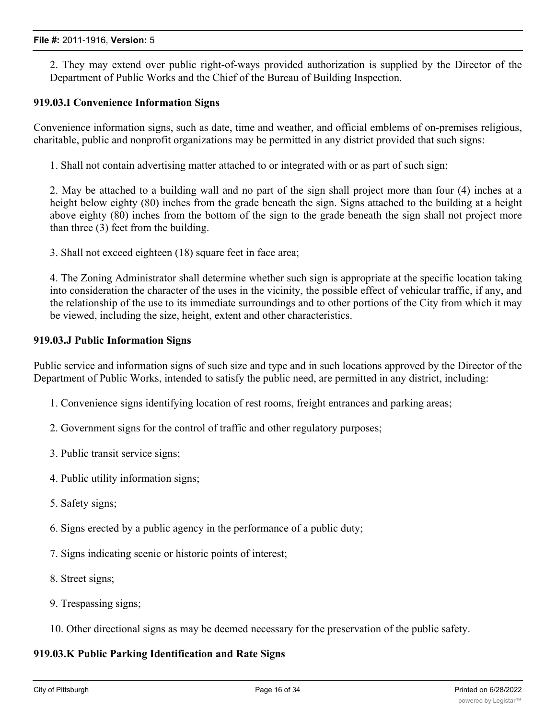2. They may extend over public right-of-ways provided authorization is supplied by the Director of the Department of Public Works and the Chief of the Bureau of Building Inspection.

# **919.03.I Convenience Information Signs**

Convenience information signs, such as date, time and weather, and official emblems of on-premises religious, charitable, public and nonprofit organizations may be permitted in any district provided that such signs:

1. Shall not contain advertising matter attached to or integrated with or as part of such sign;

2. May be attached to a building wall and no part of the sign shall project more than four (4) inches at a height below eighty (80) inches from the grade beneath the sign. Signs attached to the building at a height above eighty (80) inches from the bottom of the sign to the grade beneath the sign shall not project more than three (3) feet from the building.

3. Shall not exceed eighteen (18) square feet in face area;

4. The Zoning Administrator shall determine whether such sign is appropriate at the specific location taking into consideration the character of the uses in the vicinity, the possible effect of vehicular traffic, if any, and the relationship of the use to its immediate surroundings and to other portions of the City from which it may be viewed, including the size, height, extent and other characteristics.

#### **919.03.J Public Information Signs**

Public service and information signs of such size and type and in such locations approved by the Director of the Department of Public Works, intended to satisfy the public need, are permitted in any district, including:

- 1. Convenience signs identifying location of rest rooms, freight entrances and parking areas;
- 2. Government signs for the control of traffic and other regulatory purposes;
- 3. Public transit service signs;
- 4. Public utility information signs;
- 5. Safety signs;
- 6. Signs erected by a public agency in the performance of a public duty;
- 7. Signs indicating scenic or historic points of interest;
- 8. Street signs;
- 9. Trespassing signs;
- 10. Other directional signs as may be deemed necessary for the preservation of the public safety.

#### **919.03.K Public Parking Identification and Rate Signs**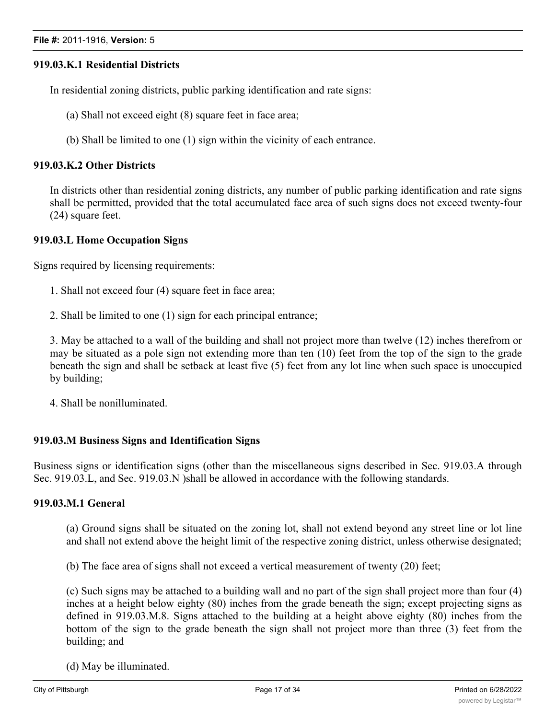# **919.03.K.1 Residential Districts**

In residential zoning districts, public parking identification and rate signs:

(a) Shall not exceed eight (8) square feet in face area;

(b) Shall be limited to one (1) sign within the vicinity of each entrance.

## **919.03.K.2 Other Districts**

In districts other than residential zoning districts, any number of public parking identification and rate signs shall be permitted, provided that the total accumulated face area of such signs does not exceed twenty-four (24) square feet.

## **919.03.L Home Occupation Signs**

Signs required by licensing requirements:

- 1. Shall not exceed four (4) square feet in face area;
- 2. Shall be limited to one (1) sign for each principal entrance;

3. May be attached to a wall of the building and shall not project more than twelve (12) inches therefrom or may be situated as a pole sign not extending more than ten (10) feet from the top of the sign to the grade beneath the sign and shall be setback at least five (5) feet from any lot line when such space is unoccupied by building;

4. Shall be nonilluminated.

#### **919.03.M Business Signs and Identification Signs**

Business signs or identification signs (other than the miscellaneous signs described in Sec. 919.03.A through Sec. 919.03.L, and Sec. 919.03.N )shall be allowed in accordance with the following standards.

#### **919.03.M.1 General**

(a) Ground signs shall be situated on the zoning lot, shall not extend beyond any street line or lot line and shall not extend above the height limit of the respective zoning district, unless otherwise designated;

(b) The face area of signs shall not exceed a vertical measurement of twenty (20) feet;

(c) Such signs may be attached to a building wall and no part of the sign shall project more than four (4) inches at a height below eighty (80) inches from the grade beneath the sign; except projecting signs as defined in 919.03.M.8. Signs attached to the building at a height above eighty (80) inches from the bottom of the sign to the grade beneath the sign shall not project more than three (3) feet from the building; and

(d) May be illuminated.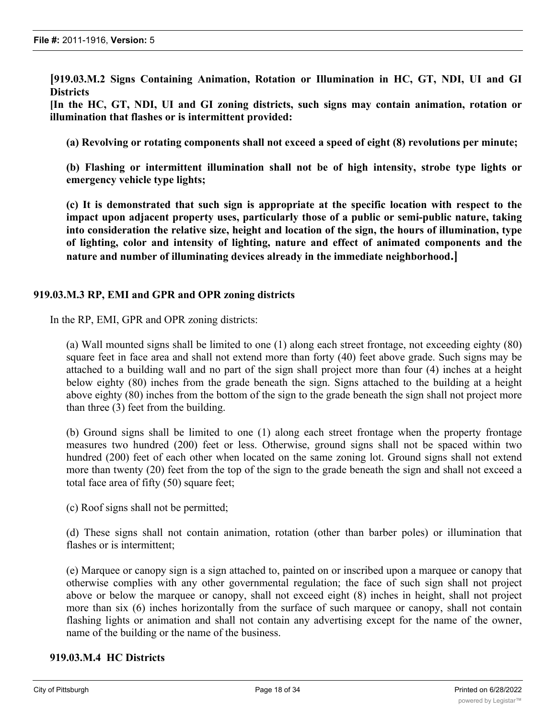**[919.03.M.2 Signs Containing Animation, Rotation or Illumination in HC, GT, NDI, UI and GI Districts**

**[In the HC, GT, NDI, UI and GI zoning districts, such signs may contain animation, rotation or illumination that flashes or is intermittent provided:**

**(a) Revolving or rotating components shall not exceed a speed of eight (8) revolutions per minute;**

**(b) Flashing or intermittent illumination shall not be of high intensity, strobe type lights or emergency vehicle type lights;**

**(c) It is demonstrated that such sign is appropriate at the specific location with respect to the impact upon adjacent property uses, particularly those of a public or semi-public nature, taking into consideration the relative size, height and location of the sign, the hours of illumination, type of lighting, color and intensity of lighting, nature and effect of animated components and the nature and number of illuminating devices already in the immediate neighborhood.]**

## **919.03.M.3 RP, EMI and GPR and OPR zoning districts**

In the RP, EMI, GPR and OPR zoning districts:

(a) Wall mounted signs shall be limited to one (1) along each street frontage, not exceeding eighty (80) square feet in face area and shall not extend more than forty (40) feet above grade. Such signs may be attached to a building wall and no part of the sign shall project more than four (4) inches at a height below eighty (80) inches from the grade beneath the sign. Signs attached to the building at a height above eighty (80) inches from the bottom of the sign to the grade beneath the sign shall not project more than three (3) feet from the building.

(b) Ground signs shall be limited to one (1) along each street frontage when the property frontage measures two hundred (200) feet or less. Otherwise, ground signs shall not be spaced within two hundred (200) feet of each other when located on the same zoning lot. Ground signs shall not extend more than twenty (20) feet from the top of the sign to the grade beneath the sign and shall not exceed a total face area of fifty (50) square feet;

(c) Roof signs shall not be permitted;

(d) These signs shall not contain animation, rotation (other than barber poles) or illumination that flashes or is intermittent;

(e) Marquee or canopy sign is a sign attached to, painted on or inscribed upon a marquee or canopy that otherwise complies with any other governmental regulation; the face of such sign shall not project above or below the marquee or canopy, shall not exceed eight (8) inches in height, shall not project more than six (6) inches horizontally from the surface of such marquee or canopy, shall not contain flashing lights or animation and shall not contain any advertising except for the name of the owner, name of the building or the name of the business.

## **919.03.M.4 HC Districts**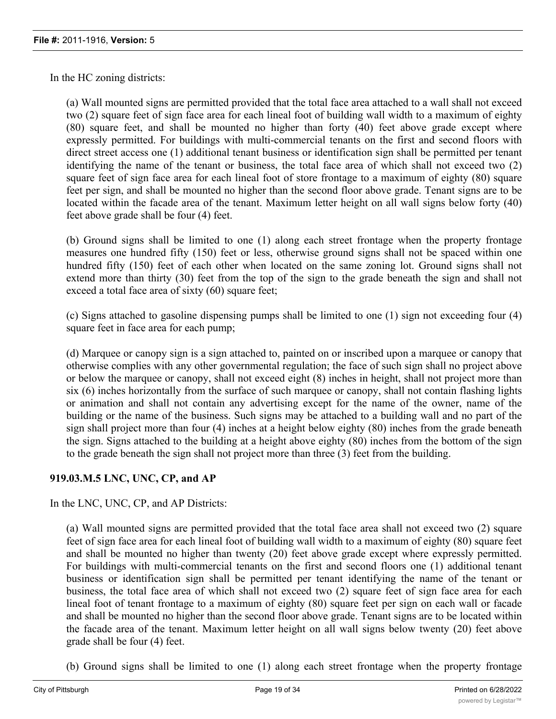In the HC zoning districts:

(a) Wall mounted signs are permitted provided that the total face area attached to a wall shall not exceed two (2) square feet of sign face area for each lineal foot of building wall width to a maximum of eighty (80) square feet, and shall be mounted no higher than forty (40) feet above grade except where expressly permitted. For buildings with multi-commercial tenants on the first and second floors with direct street access one (1) additional tenant business or identification sign shall be permitted per tenant identifying the name of the tenant or business, the total face area of which shall not exceed two (2) square feet of sign face area for each lineal foot of store frontage to a maximum of eighty (80) square feet per sign, and shall be mounted no higher than the second floor above grade. Tenant signs are to be located within the facade area of the tenant. Maximum letter height on all wall signs below forty (40) feet above grade shall be four (4) feet.

(b) Ground signs shall be limited to one (1) along each street frontage when the property frontage measures one hundred fifty (150) feet or less, otherwise ground signs shall not be spaced within one hundred fifty (150) feet of each other when located on the same zoning lot. Ground signs shall not extend more than thirty (30) feet from the top of the sign to the grade beneath the sign and shall not exceed a total face area of sixty (60) square feet;

(c) Signs attached to gasoline dispensing pumps shall be limited to one (1) sign not exceeding four (4) square feet in face area for each pump;

(d) Marquee or canopy sign is a sign attached to, painted on or inscribed upon a marquee or canopy that otherwise complies with any other governmental regulation; the face of such sign shall no project above or below the marquee or canopy, shall not exceed eight (8) inches in height, shall not project more than six (6) inches horizontally from the surface of such marquee or canopy, shall not contain flashing lights or animation and shall not contain any advertising except for the name of the owner, name of the building or the name of the business. Such signs may be attached to a building wall and no part of the sign shall project more than four (4) inches at a height below eighty (80) inches from the grade beneath the sign. Signs attached to the building at a height above eighty (80) inches from the bottom of the sign to the grade beneath the sign shall not project more than three (3) feet from the building.

# **919.03.M.5 LNC, UNC, CP, and AP**

In the LNC, UNC, CP, and AP Districts:

(a) Wall mounted signs are permitted provided that the total face area shall not exceed two (2) square feet of sign face area for each lineal foot of building wall width to a maximum of eighty (80) square feet and shall be mounted no higher than twenty (20) feet above grade except where expressly permitted. For buildings with multi-commercial tenants on the first and second floors one (1) additional tenant business or identification sign shall be permitted per tenant identifying the name of the tenant or business, the total face area of which shall not exceed two (2) square feet of sign face area for each lineal foot of tenant frontage to a maximum of eighty (80) square feet per sign on each wall or facade and shall be mounted no higher than the second floor above grade. Tenant signs are to be located within the facade area of the tenant. Maximum letter height on all wall signs below twenty (20) feet above grade shall be four (4) feet.

(b) Ground signs shall be limited to one (1) along each street frontage when the property frontage measures one hundred (100) feet or less, otherwise ground signs shall not be spaced within one hundred within  $\alpha$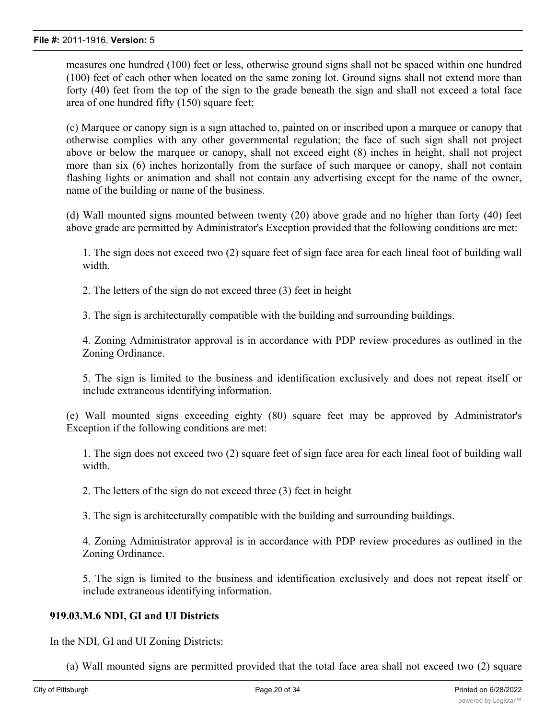measures one hundred (100) feet or less, otherwise ground signs shall not be spaced within one hundred (100) feet of each other when located on the same zoning lot. Ground signs shall not extend more than forty (40) feet from the top of the sign to the grade beneath the sign and shall not exceed a total face area of one hundred fifty (150) square feet;

(c) Marquee or canopy sign is a sign attached to, painted on or inscribed upon a marquee or canopy that otherwise complies with any other governmental regulation; the face of such sign shall not project above or below the marquee or canopy, shall not exceed eight (8) inches in height, shall not project more than six (6) inches horizontally from the surface of such marquee or canopy, shall not contain flashing lights or animation and shall not contain any advertising except for the name of the owner, name of the building or name of the business.

(d) Wall mounted signs mounted between twenty (20) above grade and no higher than forty (40) feet above grade are permitted by Administrator's Exception provided that the following conditions are met:

1. The sign does not exceed two (2) square feet of sign face area for each lineal foot of building wall width.

2. The letters of the sign do not exceed three (3) feet in height

3. The sign is architecturally compatible with the building and surrounding buildings.

4. Zoning Administrator approval is in accordance with PDP review procedures as outlined in the Zoning Ordinance.

5. The sign is limited to the business and identification exclusively and does not repeat itself or include extraneous identifying information.

(e) Wall mounted signs exceeding eighty (80) square feet may be approved by Administrator's Exception if the following conditions are met:

1. The sign does not exceed two (2) square feet of sign face area for each lineal foot of building wall width.

2. The letters of the sign do not exceed three (3) feet in height

3. The sign is architecturally compatible with the building and surrounding buildings.

4. Zoning Administrator approval is in accordance with PDP review procedures as outlined in the Zoning Ordinance.

5. The sign is limited to the business and identification exclusively and does not repeat itself or include extraneous identifying information.

#### **919.03.M.6 NDI, GI and UI Districts**

In the NDI, GI and UI Zoning Districts:

(a) Wall mounted signs are permitted provided that the total face area shall not exceed two (2) square feet of sign face area for each lineal for each lineal foot of building wall width, to a maximum of  $\mathcal{S}(\mathcal{S})$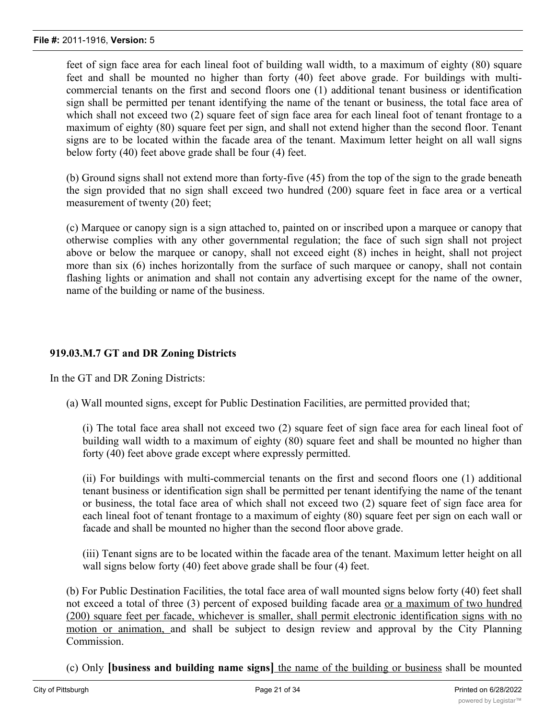feet of sign face area for each lineal foot of building wall width, to a maximum of eighty (80) square feet and shall be mounted no higher than forty (40) feet above grade. For buildings with multicommercial tenants on the first and second floors one (1) additional tenant business or identification sign shall be permitted per tenant identifying the name of the tenant or business, the total face area of which shall not exceed two (2) square feet of sign face area for each lineal foot of tenant frontage to a maximum of eighty (80) square feet per sign, and shall not extend higher than the second floor. Tenant signs are to be located within the facade area of the tenant. Maximum letter height on all wall signs below forty (40) feet above grade shall be four (4) feet.

(b) Ground signs shall not extend more than forty-five (45) from the top of the sign to the grade beneath the sign provided that no sign shall exceed two hundred (200) square feet in face area or a vertical measurement of twenty (20) feet;

(c) Marquee or canopy sign is a sign attached to, painted on or inscribed upon a marquee or canopy that otherwise complies with any other governmental regulation; the face of such sign shall not project above or below the marquee or canopy, shall not exceed eight (8) inches in height, shall not project more than six (6) inches horizontally from the surface of such marquee or canopy, shall not contain flashing lights or animation and shall not contain any advertising except for the name of the owner, name of the building or name of the business.

# **919.03.M.7 GT and DR Zoning Districts**

In the GT and DR Zoning Districts:

(a) Wall mounted signs, except for Public Destination Facilities, are permitted provided that;

(i) The total face area shall not exceed two (2) square feet of sign face area for each lineal foot of building wall width to a maximum of eighty (80) square feet and shall be mounted no higher than forty (40) feet above grade except where expressly permitted.

(ii) For buildings with multi-commercial tenants on the first and second floors one (1) additional tenant business or identification sign shall be permitted per tenant identifying the name of the tenant or business, the total face area of which shall not exceed two (2) square feet of sign face area for each lineal foot of tenant frontage to a maximum of eighty (80) square feet per sign on each wall or facade and shall be mounted no higher than the second floor above grade.

(iii) Tenant signs are to be located within the facade area of the tenant. Maximum letter height on all wall signs below forty (40) feet above grade shall be four (4) feet.

(b) For Public Destination Facilities, the total face area of wall mounted signs below forty (40) feet shall not exceed a total of three (3) percent of exposed building facade area or a maximum of two hundred (200) square feet per facade, whichever is smaller, shall permit electronic identification signs with no motion or animation, and shall be subject to design review and approval by the City Planning Commission.

(c) Only **[business and building name signs]** the name of the building or business shall be mounted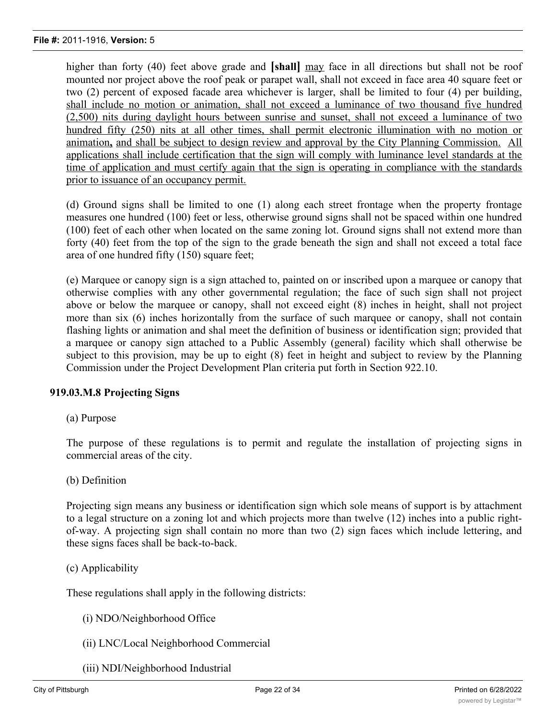higher than forty (40) feet above grade and **[shall]** may face in all directions but shall not be roof mounted nor project above the roof peak or parapet wall, shall not exceed in face area 40 square feet or two (2) percent of exposed facade area whichever is larger, shall be limited to four (4) per building, shall include no motion or animation, shall not exceed a luminance of two thousand five hundred (2,500) nits during daylight hours between sunrise and sunset, shall not exceed a luminance of two hundred fifty (250) nits at all other times, shall permit electronic illumination with no motion or animation**,** and shall be subject to design review and approval by the City Planning Commission. All applications shall include certification that the sign will comply with luminance level standards at the time of application and must certify again that the sign is operating in compliance with the standards prior to issuance of an occupancy permit.

(d) Ground signs shall be limited to one (1) along each street frontage when the property frontage measures one hundred (100) feet or less, otherwise ground signs shall not be spaced within one hundred (100) feet of each other when located on the same zoning lot. Ground signs shall not extend more than forty (40) feet from the top of the sign to the grade beneath the sign and shall not exceed a total face area of one hundred fifty (150) square feet;

(e) Marquee or canopy sign is a sign attached to, painted on or inscribed upon a marquee or canopy that otherwise complies with any other governmental regulation; the face of such sign shall not project above or below the marquee or canopy, shall not exceed eight (8) inches in height, shall not project more than six (6) inches horizontally from the surface of such marquee or canopy, shall not contain flashing lights or animation and shal meet the definition of business or identification sign; provided that a marquee or canopy sign attached to a Public Assembly (general) facility which shall otherwise be subject to this provision, may be up to eight (8) feet in height and subject to review by the Planning Commission under the Project Development Plan criteria put forth in Section 922.10.

# **919.03.M.8 Projecting Signs**

(a) Purpose

The purpose of these regulations is to permit and regulate the installation of projecting signs in commercial areas of the city.

(b) Definition

Projecting sign means any business or identification sign which sole means of support is by attachment to a legal structure on a zoning lot and which projects more than twelve (12) inches into a public rightof-way. A projecting sign shall contain no more than two (2) sign faces which include lettering, and these signs faces shall be back-to-back.

(c) Applicability

These regulations shall apply in the following districts:

- (i) NDO/Neighborhood Office
- (ii) LNC/Local Neighborhood Commercial
- (iii) NDI/Neighborhood Industrial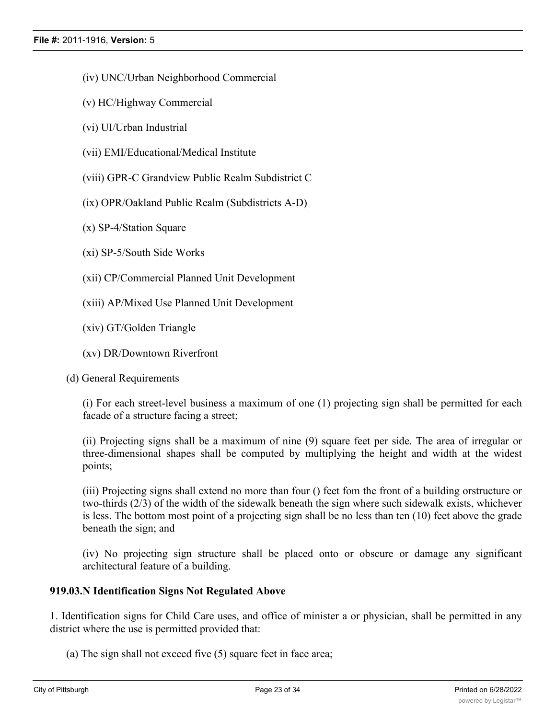- (iv) UNC/Urban Neighborhood Commercial
- (v) HC/Highway Commercial
- (vi) UI/Urban Industrial
- (vii) EMI/Educational/Medical Institute
- (viii) GPR-C Grandview Public Realm Subdistrict C
- (ix) OPR/Oakland Public Realm (Subdistricts A-D)
- (x) SP-4/Station Square
- (xi) SP-5/South Side Works
- (xii) CP/Commercial Planned Unit Development
- (xiii) AP/Mixed Use Planned Unit Development
- (xiv) GT/Golden Triangle
- (xv) DR/Downtown Riverfront

(d) General Requirements

(i) For each street-level business a maximum of one (1) projecting sign shall be permitted for each facade of a structure facing a street;

(ii) Projecting signs shall be a maximum of nine (9) square feet per side. The area of irregular or three-dimensional shapes shall be computed by multiplying the height and width at the widest points;

(iii) Projecting signs shall extend no more than four () feet fom the front of a building orstructure or two-thirds (2/3) of the width of the sidewalk beneath the sign where such sidewalk exists, whichever is less. The bottom most point of a projecting sign shall be no less than ten (10) feet above the grade beneath the sign; and

(iv) No projecting sign structure shall be placed onto or obscure or damage any significant architectural feature of a building.

# **919.03.N Identification Signs Not Regulated Above**

1. Identification signs for Child Care uses, and office of minister a or physician, shall be permitted in any district where the use is permitted provided that:

(a) The sign shall not exceed five (5) square feet in face area;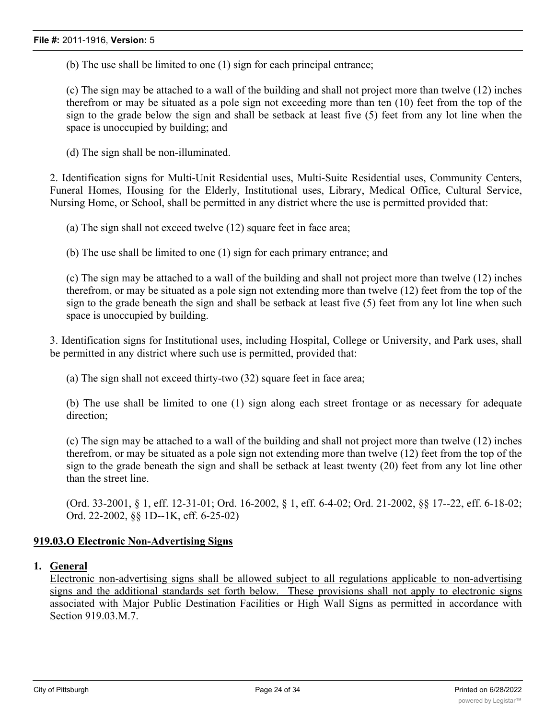(b) The use shall be limited to one (1) sign for each principal entrance;

(c) The sign may be attached to a wall of the building and shall not project more than twelve (12) inches therefrom or may be situated as a pole sign not exceeding more than ten (10) feet from the top of the sign to the grade below the sign and shall be setback at least five (5) feet from any lot line when the space is unoccupied by building; and

(d) The sign shall be non-illuminated.

2. Identification signs for Multi-Unit Residential uses, Multi-Suite Residential uses, Community Centers, Funeral Homes, Housing for the Elderly, Institutional uses, Library, Medical Office, Cultural Service, Nursing Home, or School, shall be permitted in any district where the use is permitted provided that:

(a) The sign shall not exceed twelve (12) square feet in face area;

(b) The use shall be limited to one (1) sign for each primary entrance; and

(c) The sign may be attached to a wall of the building and shall not project more than twelve (12) inches therefrom, or may be situated as a pole sign not extending more than twelve (12) feet from the top of the sign to the grade beneath the sign and shall be setback at least five (5) feet from any lot line when such space is unoccupied by building.

3. Identification signs for Institutional uses, including Hospital, College or University, and Park uses, shall be permitted in any district where such use is permitted, provided that:

(a) The sign shall not exceed thirty-two (32) square feet in face area;

(b) The use shall be limited to one (1) sign along each street frontage or as necessary for adequate direction;

(c) The sign may be attached to a wall of the building and shall not project more than twelve (12) inches therefrom, or may be situated as a pole sign not extending more than twelve (12) feet from the top of the sign to the grade beneath the sign and shall be setback at least twenty (20) feet from any lot line other than the street line.

(Ord. 33-2001, § 1, eff. 12-31-01; Ord. 16-2002, § 1, eff. 6-4-02; Ord. 21-2002, §§ 17--22, eff. 6-18-02; Ord. 22-2002, §§ 1D--1K, eff. 6-25-02)

# **919.03.O Electronic Non-Advertising Signs**

# **1. General**

Electronic non-advertising signs shall be allowed subject to all regulations applicable to non-advertising signs and the additional standards set forth below. These provisions shall not apply to electronic signs associated with Major Public Destination Facilities or High Wall Signs as permitted in accordance with Section 919.03.M.7.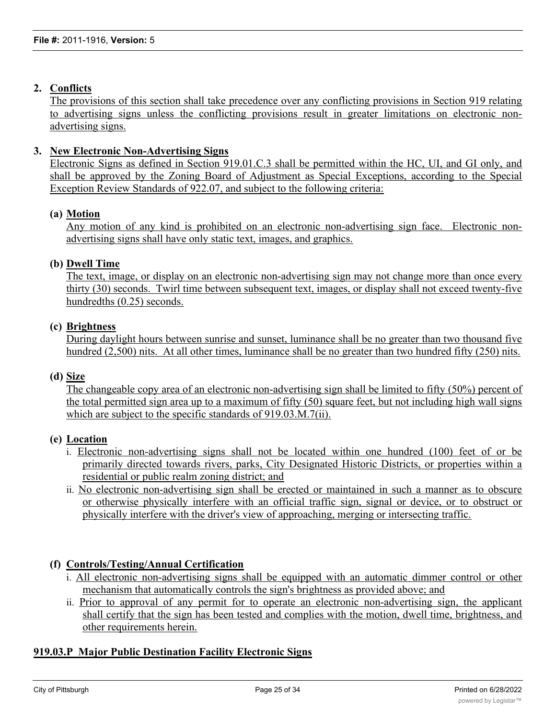# **2. Conflicts**

The provisions of this section shall take precedence over any conflicting provisions in Section 919 relating to advertising signs unless the conflicting provisions result in greater limitations on electronic nonadvertising signs.

# **3. New Electronic Non-Advertising Signs**

Electronic Signs as defined in Section 919.01.C.3 shall be permitted within the HC, UI, and GI only, and shall be approved by the Zoning Board of Adjustment as Special Exceptions, according to the Special Exception Review Standards of 922.07, and subject to the following criteria:

# **(a) Motion**

Any motion of any kind is prohibited on an electronic non-advertising sign face. Electronic nonadvertising signs shall have only static text, images, and graphics.

# **(b) Dwell Time**

The text, image, or display on an electronic non-advertising sign may not change more than once every thirty (30) seconds. Twirl time between subsequent text, images, or display shall not exceed twenty-five hundredths (0.25) seconds.

## **(c) Brightness**

During daylight hours between sunrise and sunset, luminance shall be no greater than two thousand five hundred (2,500) nits. At all other times, luminance shall be no greater than two hundred fifty (250) nits.

#### **(d) Size**

The changeable copy area of an electronic non-advertising sign shall be limited to fifty (50%) percent of the total permitted sign area up to a maximum of fifty (50) square feet, but not including high wall signs which are subject to the specific standards of 919.03.M.7(ii).

# **(e) Location**

- i. Electronic non-advertising signs shall not be located within one hundred (100) feet of or be primarily directed towards rivers, parks, City Designated Historic Districts, or properties within a residential or public realm zoning district; and
- ii. No electronic non-advertising sign shall be erected or maintained in such a manner as to obscure or otherwise physically interfere with an official traffic sign, signal or device, or to obstruct or physically interfere with the driver's view of approaching, merging or intersecting traffic.

# **(f) Controls/Testing/Annual Certification**

- i. All electronic non-advertising signs shall be equipped with an automatic dimmer control or other mechanism that automatically controls the sign's brightness as provided above; and
- ii. Prior to approval of any permit for to operate an electronic non-advertising sign, the applicant shall certify that the sign has been tested and complies with the motion, dwell time, brightness, and other requirements herein.

# **919.03.P Major Public Destination Facility Electronic Signs**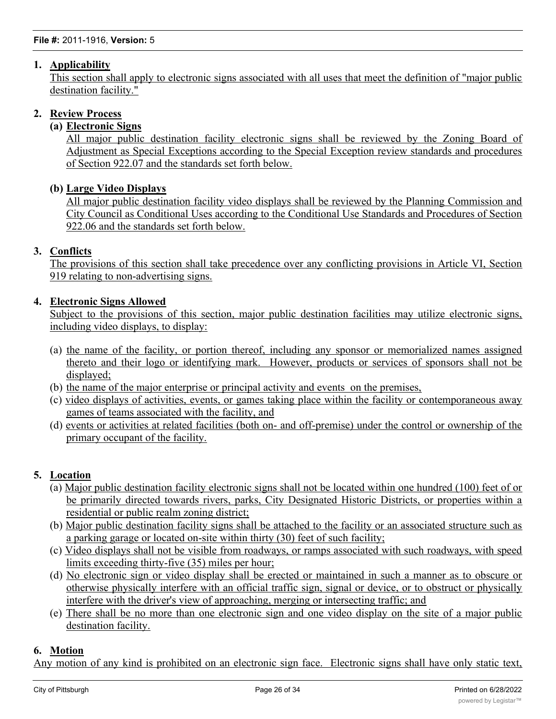# **1. Applicability**

This section shall apply to electronic signs associated with all uses that meet the definition of "major public destination facility."

# **2. Review Process**

# **(a) Electronic Signs**

All major public destination facility electronic signs shall be reviewed by the Zoning Board of Adjustment as Special Exceptions according to the Special Exception review standards and procedures of Section 922.07 and the standards set forth below.

# **(b) Large Video Displays**

All major public destination facility video displays shall be reviewed by the Planning Commission and City Council as Conditional Uses according to the Conditional Use Standards and Procedures of Section 922.06 and the standards set forth below.

# **3. Conflicts**

The provisions of this section shall take precedence over any conflicting provisions in Article VI, Section 919 relating to non-advertising signs.

# **4. Electronic Signs Allowed**

Subject to the provisions of this section, major public destination facilities may utilize electronic signs, including video displays, to display:

- (a) the name of the facility, or portion thereof, including any sponsor or memorialized names assigned thereto and their logo or identifying mark. However, products or services of sponsors shall not be displayed;
- (b) the name of the major enterprise or principal activity and events on the premises,
- (c) video displays of activities, events, or games taking place within the facility or contemporaneous away games of teams associated with the facility, and
- (d) events or activities at related facilities (both on- and off-premise) under the control or ownership of the primary occupant of the facility.

# **5. Location**

- (a) Major public destination facility electronic signs shall not be located within one hundred (100) feet of or be primarily directed towards rivers, parks, City Designated Historic Districts, or properties within a residential or public realm zoning district;
- (b) Major public destination facility signs shall be attached to the facility or an associated structure such as a parking garage or located on-site within thirty (30) feet of such facility;
- (c) Video displays shall not be visible from roadways, or ramps associated with such roadways, with speed limits exceeding thirty-five (35) miles per hour;
- (d) No electronic sign or video display shall be erected or maintained in such a manner as to obscure or otherwise physically interfere with an official traffic sign, signal or device, or to obstruct or physically interfere with the driver's view of approaching, merging or intersecting traffic; and
- (e) There shall be no more than one electronic sign and one video display on the site of a major public destination facility.

# **6. Motion**

Any motion of any kind is prohibited on an electronic sign face. Electronic signs shall have only static text, images, and graphics. However, motion may be allowed on large video displays depicting activities, events, or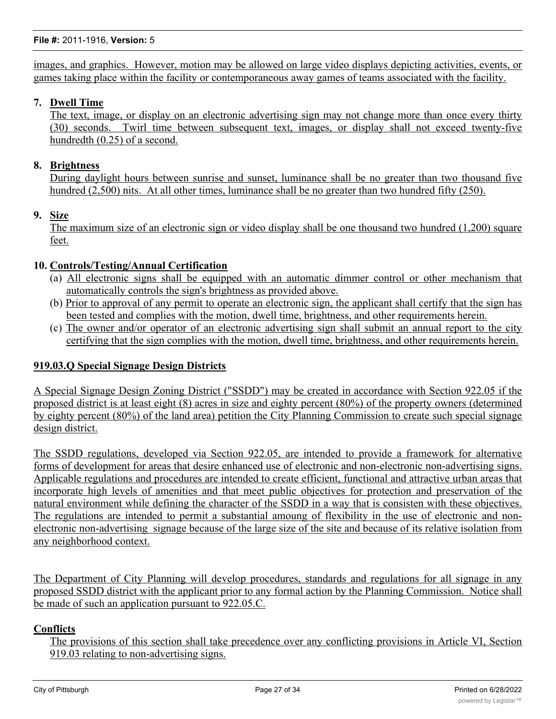images, and graphics. However, motion may be allowed on large video displays depicting activities, events, or games taking place within the facility or contemporaneous away games of teams associated with the facility.

# **7. Dwell Time**

The text, image, or display on an electronic advertising sign may not change more than once every thirty (30) seconds. Twirl time between subsequent text, images, or display shall not exceed twenty-five hundredth (0.25) of a second.

# **8. Brightness**

During daylight hours between sunrise and sunset, luminance shall be no greater than two thousand five hundred (2,500) nits. At all other times, luminance shall be no greater than two hundred fifty (250).

# **9. Size**

The maximum size of an electronic sign or video display shall be one thousand two hundred (1,200) square feet.

# **10. Controls/Testing/Annual Certification**

- (a) All electronic signs shall be equipped with an automatic dimmer control or other mechanism that automatically controls the sign's brightness as provided above.
- (b) Prior to approval of any permit to operate an electronic sign, the applicant shall certify that the sign has been tested and complies with the motion, dwell time, brightness, and other requirements herein.
- (c) The owner and/or operator of an electronic advertising sign shall submit an annual report to the city certifying that the sign complies with the motion, dwell time, brightness, and other requirements herein.

# **919.03.Q Special Signage Design Districts**

A Special Signage Design Zoning District ("SSDD") may be created in accordance with Section 922.05 if the proposed district is at least eight (8) acres in size and eighty percent (80%) of the property owners (determined by eighty percent (80%) of the land area) petition the City Planning Commission to create such special signage design district.

The SSDD regulations, developed via Section 922.05, are intended to provide a framework for alternative forms of development for areas that desire enhanced use of electronic and non-electronic non-advertising signs. Applicable regulations and procedures are intended to create efficient, functional and attractive urban areas that incorporate high levels of amenities and that meet public objectives for protection and preservation of the natural environment while defining the character of the SSDD in a way that is consisten with these objectives. The regulations are intended to permit a substantial amoung of flexibility in the use of electronic and nonelectronic non-advertising signage because of the large size of the site and because of its relative isolation from any neighborhood context.

The Department of City Planning will develop procedures, standards and regulations for all signage in any proposed SSDD district with the applicant prior to any formal action by the Planning Commission. Notice shall be made of such an application pursuant to 922.05.C.

#### **Conflicts**

The provisions of this section shall take precedence over any conflicting provisions in Article VI, Section 919.03 relating to non-advertising signs.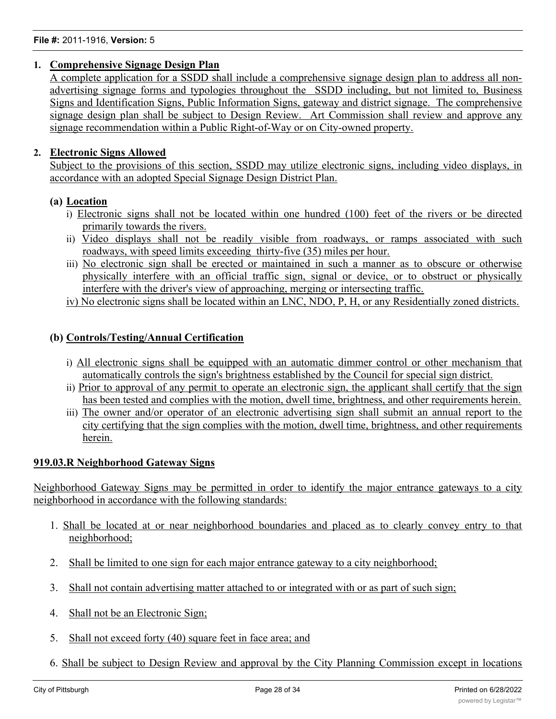# **1. Comprehensive Signage Design Plan**

A complete application for a SSDD shall include a comprehensive signage design plan to address all nonadvertising signage forms and typologies throughout the SSDD including, but not limited to, Business Signs and Identification Signs, Public Information Signs, gateway and district signage. The comprehensive signage design plan shall be subject to Design Review. Art Commission shall review and approve any signage recommendation within a Public Right-of-Way or on City-owned property.

# **2. Electronic Signs Allowed**

Subject to the provisions of this section, SSDD may utilize electronic signs, including video displays, in accordance with an adopted Special Signage Design District Plan.

# **(a) Location**

- i) Electronic signs shall not be located within one hundred (100) feet of the rivers or be directed primarily towards the rivers.
- ii) Video displays shall not be readily visible from roadways, or ramps associated with such roadways, with speed limits exceeding thirty-five (35) miles per hour.
- iii) No electronic sign shall be erected or maintained in such a manner as to obscure or otherwise physically interfere with an official traffic sign, signal or device, or to obstruct or physically interfere with the driver's view of approaching, merging or intersecting traffic.
- iv) No electronic signs shall be located within an LNC, NDO, P, H, or any Residentially zoned districts.

# **(b) Controls/Testing/Annual Certification**

- i) All electronic signs shall be equipped with an automatic dimmer control or other mechanism that automatically controls the sign's brightness established by the Council for special sign district.
- ii) Prior to approval of any permit to operate an electronic sign, the applicant shall certify that the sign has been tested and complies with the motion, dwell time, brightness, and other requirements herein.
- iii) The owner and/or operator of an electronic advertising sign shall submit an annual report to the city certifying that the sign complies with the motion, dwell time, brightness, and other requirements herein.

# **919.03.R Neighborhood Gateway Signs**

Neighborhood Gateway Signs may be permitted in order to identify the major entrance gateways to a city neighborhood in accordance with the following standards:

- 1. Shall be located at or near neighborhood boundaries and placed as to clearly convey entry to that neighborhood;
- 2. Shall be limited to one sign for each major entrance gateway to a city neighborhood;
- 3. Shall not contain advertising matter attached to or integrated with or as part of such sign;
- 4. Shall not be an Electronic Sign;
- 5. Shall not exceed forty (40) square feet in face area; and
- 6. Shall be subject to Design Review and approval by the City Planning Commission except in locations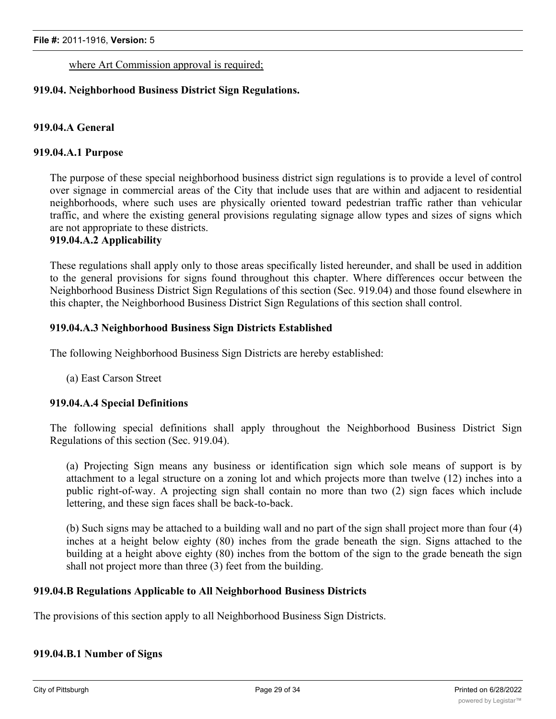where Art Commission approval is required;

# **919.04. Neighborhood Business District Sign Regulations.**

# **919.04.A General**

#### **919.04.A.1 Purpose**

The purpose of these special neighborhood business district sign regulations is to provide a level of control over signage in commercial areas of the City that include uses that are within and adjacent to residential neighborhoods, where such uses are physically oriented toward pedestrian traffic rather than vehicular traffic, and where the existing general provisions regulating signage allow types and sizes of signs which are not appropriate to these districts.

# **919.04.A.2 Applicability**

These regulations shall apply only to those areas specifically listed hereunder, and shall be used in addition to the general provisions for signs found throughout this chapter. Where differences occur between the Neighborhood Business District Sign Regulations of this section (Sec. 919.04) and those found elsewhere in this chapter, the Neighborhood Business District Sign Regulations of this section shall control.

#### **919.04.A.3 Neighborhood Business Sign Districts Established**

The following Neighborhood Business Sign Districts are hereby established:

(a) East Carson Street

#### **919.04.A.4 Special Definitions**

The following special definitions shall apply throughout the Neighborhood Business District Sign Regulations of this section (Sec. 919.04).

(a) Projecting Sign means any business or identification sign which sole means of support is by attachment to a legal structure on a zoning lot and which projects more than twelve (12) inches into a public right-of-way. A projecting sign shall contain no more than two (2) sign faces which include lettering, and these sign faces shall be back-to-back.

(b) Such signs may be attached to a building wall and no part of the sign shall project more than four (4) inches at a height below eighty (80) inches from the grade beneath the sign. Signs attached to the building at a height above eighty (80) inches from the bottom of the sign to the grade beneath the sign shall not project more than three (3) feet from the building.

#### **919.04.B Regulations Applicable to All Neighborhood Business Districts**

The provisions of this section apply to all Neighborhood Business Sign Districts.

## **919.04.B.1 Number of Signs**

(a) For each street level business, a maximum of one (1) wall sign, two (2) window sign, and either one (1) window signs, and  $\alpha$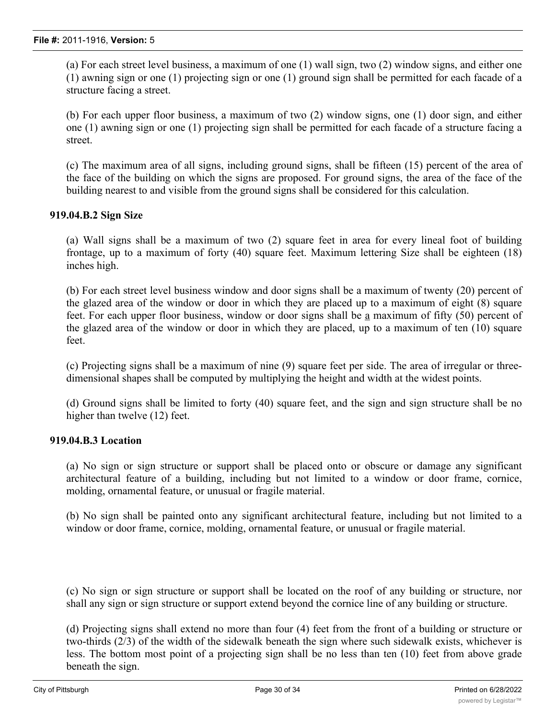(a) For each street level business, a maximum of one (1) wall sign, two (2) window signs, and either one (1) awning sign or one (1) projecting sign or one (1) ground sign shall be permitted for each facade of a structure facing a street.

(b) For each upper floor business, a maximum of two (2) window signs, one (1) door sign, and either one (1) awning sign or one (1) projecting sign shall be permitted for each facade of a structure facing a street.

(c) The maximum area of all signs, including ground signs, shall be fifteen (15) percent of the area of the face of the building on which the signs are proposed. For ground signs, the area of the face of the building nearest to and visible from the ground signs shall be considered for this calculation.

# **919.04.B.2 Sign Size**

(a) Wall signs shall be a maximum of two (2) square feet in area for every lineal foot of building frontage, up to a maximum of forty (40) square feet. Maximum lettering Size shall be eighteen (18) inches high.

(b) For each street level business window and door signs shall be a maximum of twenty (20) percent of the glazed area of the window or door in which they are placed up to a maximum of eight (8) square feet. For each upper floor business, window or door signs shall be a maximum of fifty (50) percent of the glazed area of the window or door in which they are placed, up to a maximum of ten (10) square feet.

(c) Projecting signs shall be a maximum of nine (9) square feet per side. The area of irregular or threedimensional shapes shall be computed by multiplying the height and width at the widest points.

(d) Ground signs shall be limited to forty (40) square feet, and the sign and sign structure shall be no higher than twelve (12) feet.

# **919.04.B.3 Location**

(a) No sign or sign structure or support shall be placed onto or obscure or damage any significant architectural feature of a building, including but not limited to a window or door frame, cornice, molding, ornamental feature, or unusual or fragile material.

(b) No sign shall be painted onto any significant architectural feature, including but not limited to a window or door frame, cornice, molding, ornamental feature, or unusual or fragile material.

(c) No sign or sign structure or support shall be located on the roof of any building or structure, nor shall any sign or sign structure or support extend beyond the cornice line of any building or structure.

(d) Projecting signs shall extend no more than four (4) feet from the front of a building or structure or two-thirds (2/3) of the width of the sidewalk beneath the sign where such sidewalk exists, whichever is less. The bottom most point of a projecting sign shall be no less than ten (10) feet from above grade beneath the sign.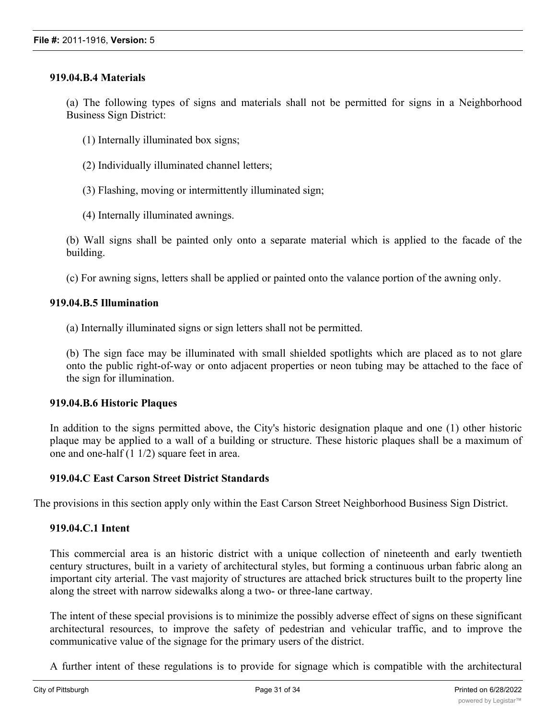## **919.04.B.4 Materials**

(a) The following types of signs and materials shall not be permitted for signs in a Neighborhood Business Sign District:

- (1) Internally illuminated box signs;
- (2) Individually illuminated channel letters;
- (3) Flashing, moving or intermittently illuminated sign;
- (4) Internally illuminated awnings.

(b) Wall signs shall be painted only onto a separate material which is applied to the facade of the building.

(c) For awning signs, letters shall be applied or painted onto the valance portion of the awning only.

# **919.04.B.5 Illumination**

(a) Internally illuminated signs or sign letters shall not be permitted.

(b) The sign face may be illuminated with small shielded spotlights which are placed as to not glare onto the public right-of-way or onto adjacent properties or neon tubing may be attached to the face of the sign for illumination.

#### **919.04.B.6 Historic Plaques**

In addition to the signs permitted above, the City's historic designation plaque and one (1) other historic plaque may be applied to a wall of a building or structure. These historic plaques shall be a maximum of one and one-half (1 1/2) square feet in area.

# **919.04.C East Carson Street District Standards**

The provisions in this section apply only within the East Carson Street Neighborhood Business Sign District.

# **919.04.C.1 Intent**

This commercial area is an historic district with a unique collection of nineteenth and early twentieth century structures, built in a variety of architectural styles, but forming a continuous urban fabric along an important city arterial. The vast majority of structures are attached brick structures built to the property line along the street with narrow sidewalks along a two- or three-lane cartway.

The intent of these special provisions is to minimize the possibly adverse effect of signs on these significant architectural resources, to improve the safety of pedestrian and vehicular traffic, and to improve the communicative value of the signage for the primary users of the district.

A further intent of these regulations is to provide for signage which is compatible with the architectural character of the district, so that the historic characteristics of the district are not adversely impacted by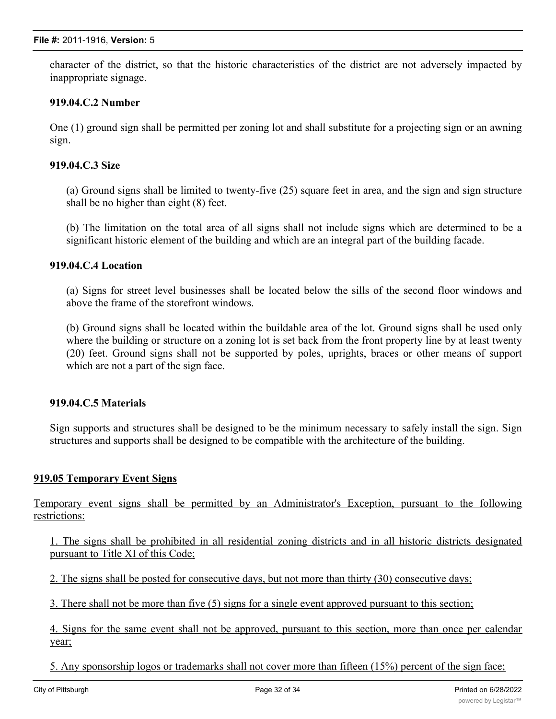character of the district, so that the historic characteristics of the district are not adversely impacted by inappropriate signage.

# **919.04.C.2 Number**

One (1) ground sign shall be permitted per zoning lot and shall substitute for a projecting sign or an awning sign.

# **919.04.C.3 Size**

(a) Ground signs shall be limited to twenty-five (25) square feet in area, and the sign and sign structure shall be no higher than eight (8) feet.

(b) The limitation on the total area of all signs shall not include signs which are determined to be a significant historic element of the building and which are an integral part of the building facade.

## **919.04.C.4 Location**

(a) Signs for street level businesses shall be located below the sills of the second floor windows and above the frame of the storefront windows.

(b) Ground signs shall be located within the buildable area of the lot. Ground signs shall be used only where the building or structure on a zoning lot is set back from the front property line by at least twenty (20) feet. Ground signs shall not be supported by poles, uprights, braces or other means of support which are not a part of the sign face.

#### **919.04.C.5 Materials**

Sign supports and structures shall be designed to be the minimum necessary to safely install the sign. Sign structures and supports shall be designed to be compatible with the architecture of the building.

#### **919.05 Temporary Event Signs**

Temporary event signs shall be permitted by an Administrator's Exception, pursuant to the following restrictions:

1. The signs shall be prohibited in all residential zoning districts and in all historic districts designated pursuant to Title XI of this Code;

2. The signs shall be posted for consecutive days, but not more than thirty (30) consecutive days;

3. There shall not be more than five (5) signs for a single event approved pursuant to this section;

4. Signs for the same event shall not be approved, pursuant to this section, more than once per calendar year;

5. Any sponsorship logos or trademarks shall not cover more than fifteen (15%) percent of the sign face;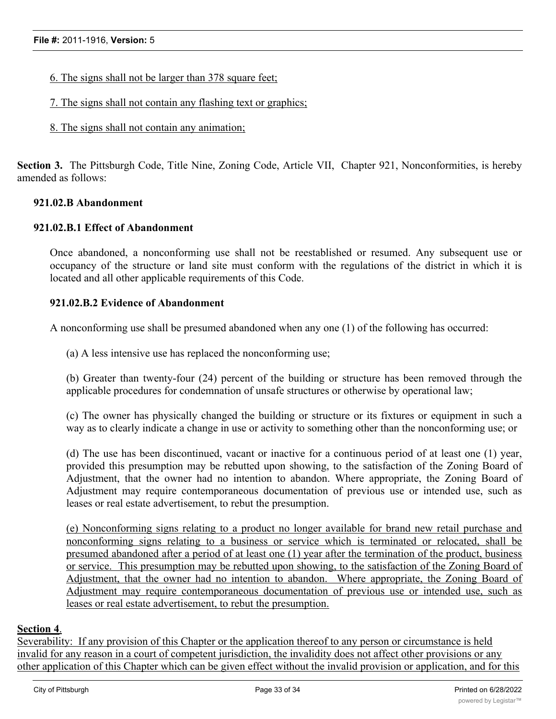- 6. The signs shall not be larger than 378 square feet;
- 7. The signs shall not contain any flashing text or graphics;
- 8. The signs shall not contain any animation;

**Section 3.** The Pittsburgh Code, Title Nine, Zoning Code, Article VII, Chapter 921, Nonconformities, is hereby amended as follows:

#### **921.02.B Abandonment**

#### **921.02.B.1 Effect of Abandonment**

Once abandoned, a nonconforming use shall not be reestablished or resumed. Any subsequent use or occupancy of the structure or land site must conform with the regulations of the district in which it is located and all other applicable requirements of this Code.

#### **921.02.B.2 Evidence of Abandonment**

A nonconforming use shall be presumed abandoned when any one (1) of the following has occurred:

(a) A less intensive use has replaced the nonconforming use;

(b) Greater than twenty-four (24) percent of the building or structure has been removed through the applicable procedures for condemnation of unsafe structures or otherwise by operational law;

(c) The owner has physically changed the building or structure or its fixtures or equipment in such a way as to clearly indicate a change in use or activity to something other than the nonconforming use; or

(d) The use has been discontinued, vacant or inactive for a continuous period of at least one (1) year, provided this presumption may be rebutted upon showing, to the satisfaction of the Zoning Board of Adjustment, that the owner had no intention to abandon. Where appropriate, the Zoning Board of Adjustment may require contemporaneous documentation of previous use or intended use, such as leases or real estate advertisement, to rebut the presumption.

(e) Nonconforming signs relating to a product no longer available for brand new retail purchase and nonconforming signs relating to a business or service which is terminated or relocated, shall be presumed abandoned after a period of at least one (1) year after the termination of the product, business or service. This presumption may be rebutted upon showing, to the satisfaction of the Zoning Board of Adjustment, that the owner had no intention to abandon. Where appropriate, the Zoning Board of Adjustment may require contemporaneous documentation of previous use or intended use, such as leases or real estate advertisement, to rebut the presumption.

#### **Section 4**.

Severability: If any provision of this Chapter or the application thereof to any person or circumstance is held invalid for any reason in a court of competent jurisdiction, the invalidity does not affect other provisions or any other application of this Chapter which can be given effect without the invalid provision or application, and for this